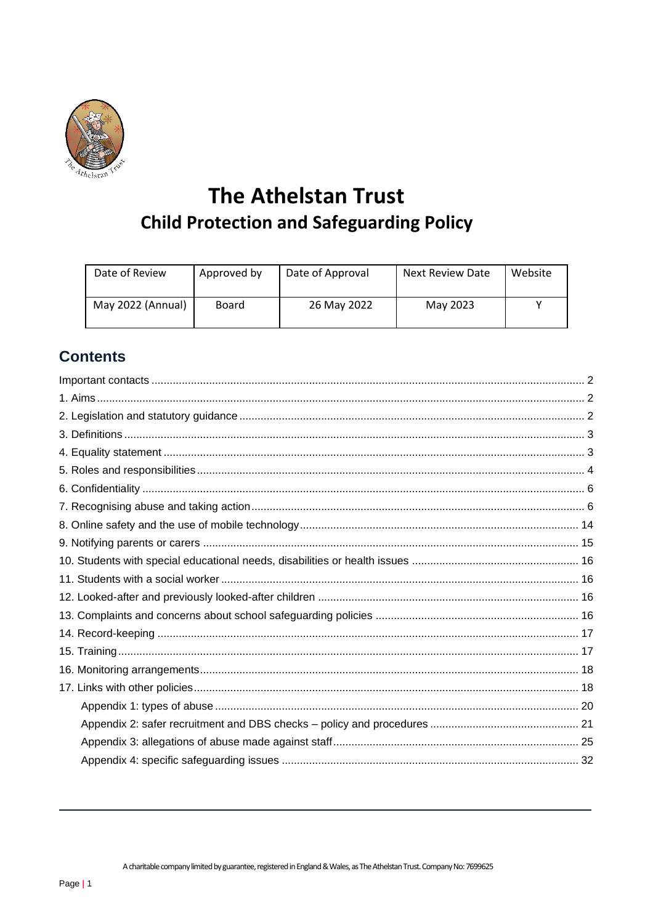

# **The Athelstan Trust Child Protection and Safeguarding Policy**

| Date of Review    | Approved by | Date of Approval | Next Review Date | Website |
|-------------------|-------------|------------------|------------------|---------|
| May 2022 (Annual) | Board       | 26 May 2022      | May 2023         |         |

## **Contents**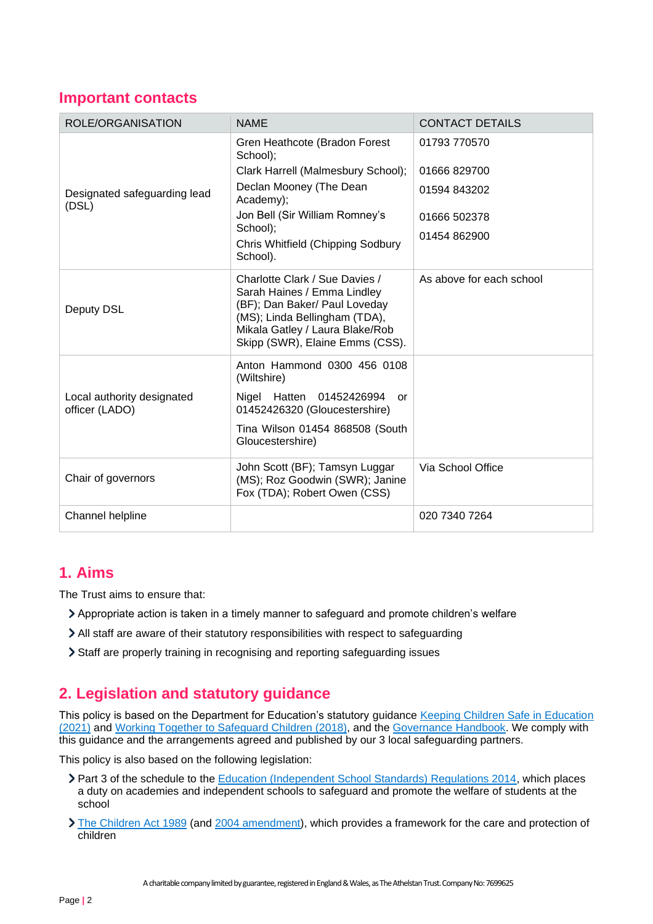## <span id="page-1-0"></span>**Important contacts**

| ROLE/ORGANISATION                            | <b>NAME</b>                                                                                                                                                                                           | <b>CONTACT DETAILS</b>   |
|----------------------------------------------|-------------------------------------------------------------------------------------------------------------------------------------------------------------------------------------------------------|--------------------------|
|                                              | Gren Heathcote (Bradon Forest<br>School);                                                                                                                                                             | 01793 770570             |
|                                              | Clark Harrell (Malmesbury School);                                                                                                                                                                    | 01666829700              |
| Designated safeguarding lead<br>(DSL)        | Declan Mooney (The Dean<br>Academy);                                                                                                                                                                  | 01594 843202             |
|                                              | Jon Bell (Sir William Romney's                                                                                                                                                                        | 01666 502378             |
|                                              | School);<br>Chris Whitfield (Chipping Sodbury<br>School).                                                                                                                                             | 01454 862900             |
| Deputy DSL                                   | Charlotte Clark / Sue Davies /<br>Sarah Haines / Emma Lindley<br>(BF); Dan Baker/ Paul Loveday<br>(MS); Linda Bellingham (TDA),<br>Mikala Gatley / Laura Blake/Rob<br>Skipp (SWR), Elaine Emms (CSS). | As above for each school |
|                                              | Anton Hammond 0300 456 0108<br>(Wiltshire)                                                                                                                                                            |                          |
| Local authority designated<br>officer (LADO) | Nigel Hatten 01452426994<br>or<br>01452426320 (Gloucestershire)                                                                                                                                       |                          |
|                                              | Tina Wilson 01454 868508 (South<br>Gloucestershire)                                                                                                                                                   |                          |
| Chair of governors                           | John Scott (BF); Tamsyn Luggar<br>(MS); Roz Goodwin (SWR); Janine<br>Fox (TDA); Robert Owen (CSS)                                                                                                     | Via School Office        |
| Channel helpline                             |                                                                                                                                                                                                       | 020 7340 7264            |

## <span id="page-1-1"></span>**1. Aims**

The Trust aims to ensure that:

- Appropriate action is taken in a timely manner to safeguard and promote children's welfare
- All staff are aware of their statutory responsibilities with respect to safeguarding
- Staff are properly training in recognising and reporting safeguarding issues

## <span id="page-1-2"></span>**2. Legislation and statutory guidance**

This policy is based on the Department for Education's statutory guidance [Keeping Children Safe in Education](https://www.gov.uk/government/publications/keeping-children-safe-in-education--2)  [\(2021\)](https://www.gov.uk/government/publications/keeping-children-safe-in-education--2) and [Working Together to Safeguard Children \(2018\),](https://www.gov.uk/government/publications/working-together-to-safeguard-children--2) and the [Governance Handbook.](https://www.gov.uk/government/publications/governance-handbook) We comply with this guidance and the arrangements agreed and published by our 3 local safeguarding partners.

This policy is also based on the following legislation:

- Part 3 of the schedule to th[e Education \(Independent School Standards\) Regulations 2014,](http://www.legislation.gov.uk/uksi/2014/3283/schedule/part/3/made) which places a duty on academies and independent schools to safeguard and promote the welfare of students at the school
- [The Children Act 1989](http://www.legislation.gov.uk/ukpga/1989/41) (and [2004 amendment\)](http://www.legislation.gov.uk/ukpga/2004/31/contents), which provides a framework for the care and protection of children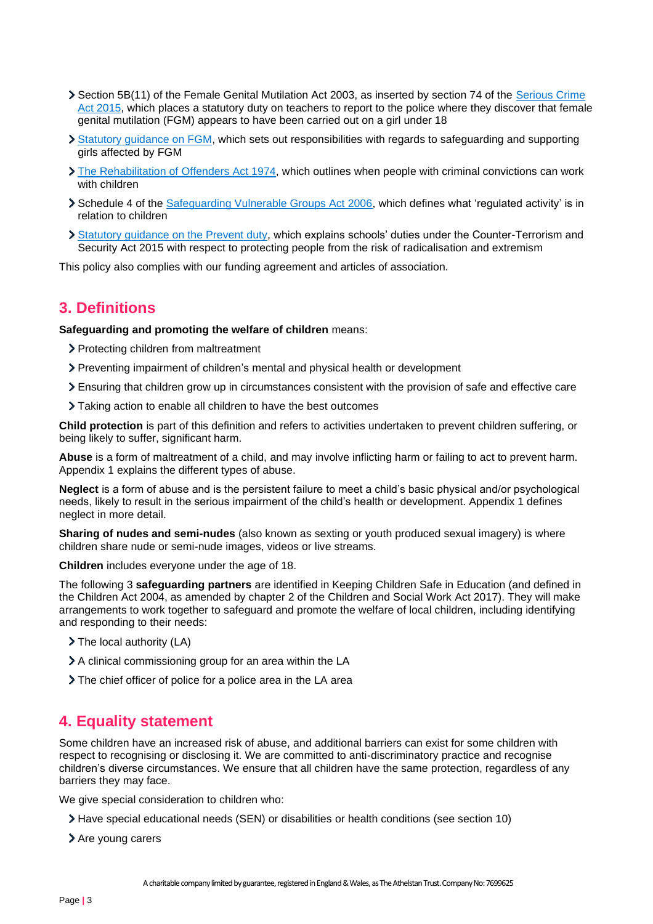- Section 5B(11) of the Female Genital Mutilation Act 2003, as inserted by section 74 of the [Serious Crime](http://www.legislation.gov.uk/ukpga/2015/9/part/5/crossheading/female-genital-mutilation)  [Act 2015,](http://www.legislation.gov.uk/ukpga/2015/9/part/5/crossheading/female-genital-mutilation) which places a statutory duty on teachers to report to the police where they discover that female genital mutilation (FGM) appears to have been carried out on a girl under 18
- [Statutory guidance on FGM,](https://www.gov.uk/government/publications/multi-agency-statutory-guidance-on-female-genital-mutilation) which sets out responsibilities with regards to safeguarding and supporting girls affected by FGM
- [The Rehabilitation of Offenders Act 1974,](http://www.legislation.gov.uk/ukpga/1974/53) which outlines when people with criminal convictions can work with children
- Schedule 4 of the [Safeguarding Vulnerable Groups Act 2006,](http://www.legislation.gov.uk/ukpga/2006/47/schedule/4) which defines what 'regulated activity' is in relation to children
- [Statutory guidance on the Prevent duty,](https://www.gov.uk/government/publications/prevent-duty-guidance) which explains schools' duties under the Counter-Terrorism and Security Act 2015 with respect to protecting people from the risk of radicalisation and extremism

This policy also complies with our funding agreement and articles of association.

## <span id="page-2-0"></span>**3. Definitions**

**Safeguarding and promoting the welfare of children** means:

- > Protecting children from maltreatment
- Preventing impairment of children's mental and physical health or development
- Ensuring that children grow up in circumstances consistent with the provision of safe and effective care
- Taking action to enable all children to have the best outcomes

**Child protection** is part of this definition and refers to activities undertaken to prevent children suffering, or being likely to suffer, significant harm.

**Abuse** is a form of maltreatment of a child, and may involve inflicting harm or failing to act to prevent harm. Appendix 1 explains the different types of abuse.

**Neglect** is a form of abuse and is the persistent failure to meet a child's basic physical and/or psychological needs, likely to result in the serious impairment of the child's health or development. Appendix 1 defines neglect in more detail.

**Sharing of nudes and semi-nudes** (also known as sexting or youth produced sexual imagery) is where children share nude or semi-nude images, videos or live streams.

**Children** includes everyone under the age of 18.

The following 3 **safeguarding partners** are identified in Keeping Children Safe in Education (and defined in the Children Act 2004, as amended by chapter 2 of the Children and Social Work Act 2017). They will make arrangements to work together to safeguard and promote the welfare of local children, including identifying and responding to their needs:

- > The local authority (LA)
- A clinical commissioning group for an area within the LA
- The chief officer of police for a police area in the LA area

## <span id="page-2-1"></span>**4. Equality statement**

Some children have an increased risk of abuse, and additional barriers can exist for some children with respect to recognising or disclosing it. We are committed to anti-discriminatory practice and recognise children's diverse circumstances. We ensure that all children have the same protection, regardless of any barriers they may face.

We give special consideration to children who:

- Have special educational needs (SEN) or disabilities or health conditions (see section 10)
- > Are young carers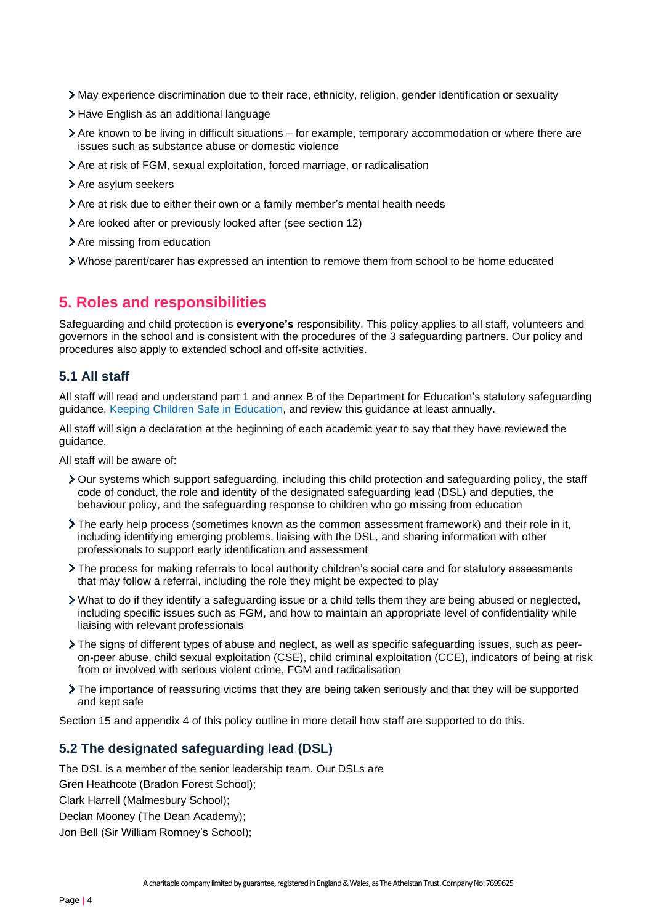- May experience discrimination due to their race, ethnicity, religion, gender identification or sexuality
- > Have English as an additional language
- Are known to be living in difficult situations for example, temporary accommodation or where there are issues such as substance abuse or domestic violence
- Are at risk of FGM, sexual exploitation, forced marriage, or radicalisation
- > Are asylum seekers
- Are at risk due to either their own or a family member's mental health needs
- Are looked after or previously looked after (see section 12)
- > Are missing from education
- Whose parent/carer has expressed an intention to remove them from school to be home educated

## <span id="page-3-0"></span>**5. Roles and responsibilities**

Safeguarding and child protection is **everyone's** responsibility. This policy applies to all staff, volunteers and governors in the school and is consistent with the procedures of the 3 safeguarding partners. Our policy and procedures also apply to extended school and off-site activities.

## **5.1 All staff**

All staff will read and understand part 1 and annex B of the Department for Education's statutory safeguarding guidance, [Keeping Children Safe in Education,](https://www.gov.uk/government/publications/keeping-children-safe-in-education--2) and review this guidance at least annually.

All staff will sign a declaration at the beginning of each academic year to say that they have reviewed the guidance.

All staff will be aware of:

- Our systems which support safeguarding, including this child protection and safeguarding policy, the staff code of conduct, the role and identity of the designated safeguarding lead (DSL) and deputies, the behaviour policy, and the safeguarding response to children who go missing from education
- The early help process (sometimes known as the common assessment framework) and their role in it, including identifying emerging problems, liaising with the DSL, and sharing information with other professionals to support early identification and assessment
- The process for making referrals to local authority children's social care and for statutory assessments that may follow a referral, including the role they might be expected to play
- What to do if they identify a safeguarding issue or a child tells them they are being abused or neglected, including specific issues such as FGM, and how to maintain an appropriate level of confidentiality while liaising with relevant professionals
- The signs of different types of abuse and neglect, as well as specific safeguarding issues, such as peeron-peer abuse, child sexual exploitation (CSE), child criminal exploitation (CCE), indicators of being at risk from or involved with serious violent crime, FGM and radicalisation
- The importance of reassuring victims that they are being taken seriously and that they will be supported and kept safe

Section 15 and appendix 4 of this policy outline in more detail how staff are supported to do this.

## **5.2 The designated safeguarding lead (DSL)**

The DSL is a member of the senior leadership team. Our DSLs are Gren Heathcote (Bradon Forest School); Clark Harrell (Malmesbury School); Declan Mooney (The Dean Academy); Jon Bell (Sir William Romney's School);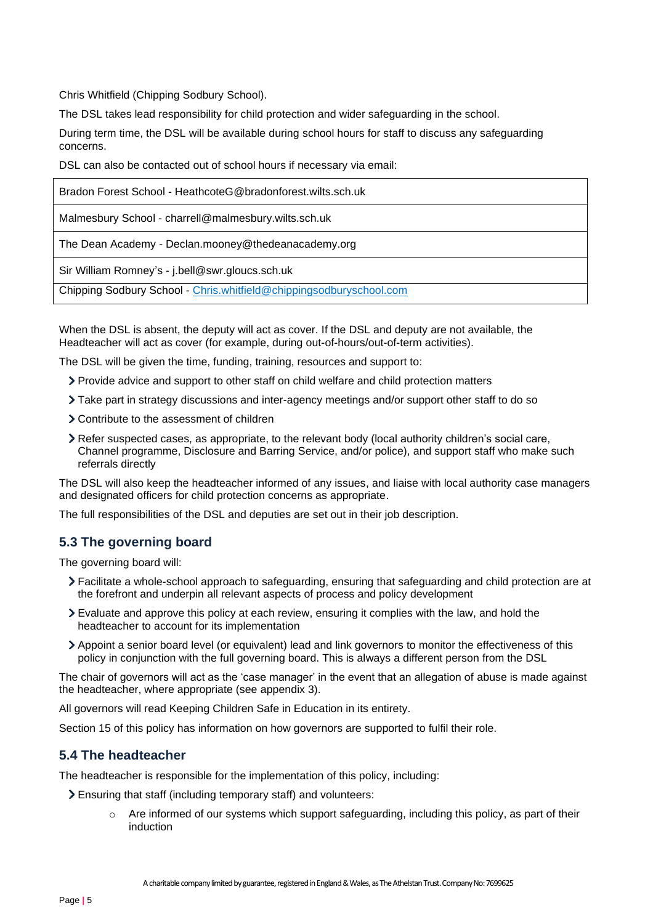Chris Whitfield (Chipping Sodbury School).

The DSL takes lead responsibility for child protection and wider safeguarding in the school.

During term time, the DSL will be available during school hours for staff to discuss any safeguarding concerns.

DSL can also be contacted out of school hours if necessary via email:

| Bradon Forest School - HeathcoteG@bradonforest.wilts.sch.uk         |
|---------------------------------------------------------------------|
| Malmesbury School - charrell@malmesbury.wilts.sch.uk                |
| The Dean Academy - Declan.mooney@thedeanacademy.org                 |
| Sir William Romney's - j.bell@swr.gloucs.sch.uk                     |
| Chipping Sodbury School - Chris.whitfield@chippingsodburyschool.com |

When the DSL is absent, the deputy will act as cover. If the DSL and deputy are not available, the Headteacher will act as cover (for example, during out-of-hours/out-of-term activities).

The DSL will be given the time, funding, training, resources and support to:

- Provide advice and support to other staff on child welfare and child protection matters
- Take part in strategy discussions and inter-agency meetings and/or support other staff to do so
- Contribute to the assessment of children
- Refer suspected cases, as appropriate, to the relevant body (local authority children's social care, Channel programme, Disclosure and Barring Service, and/or police), and support staff who make such referrals directly

The DSL will also keep the headteacher informed of any issues, and liaise with local authority case managers and designated officers for child protection concerns as appropriate.

The full responsibilities of the DSL and deputies are set out in their job description.

## **5.3 The governing board**

The governing board will:

- Facilitate a whole-school approach to safeguarding, ensuring that safeguarding and child protection are at the forefront and underpin all relevant aspects of process and policy development
- Evaluate and approve this policy at each review, ensuring it complies with the law, and hold the headteacher to account for its implementation
- Appoint a senior board level (or equivalent) lead and link governors to monitor the effectiveness of this policy in conjunction with the full governing board. This is always a different person from the DSL

The chair of governors will act as the 'case manager' in the event that an allegation of abuse is made against the headteacher, where appropriate (see appendix 3).

All governors will read Keeping Children Safe in Education in its entirety.

Section 15 of this policy has information on how governors are supported to fulfil their role.

## **5.4 The headteacher**

The headteacher is responsible for the implementation of this policy, including:

Ensuring that staff (including temporary staff) and volunteers:

 $\circ$  Are informed of our systems which support safeguarding, including this policy, as part of their induction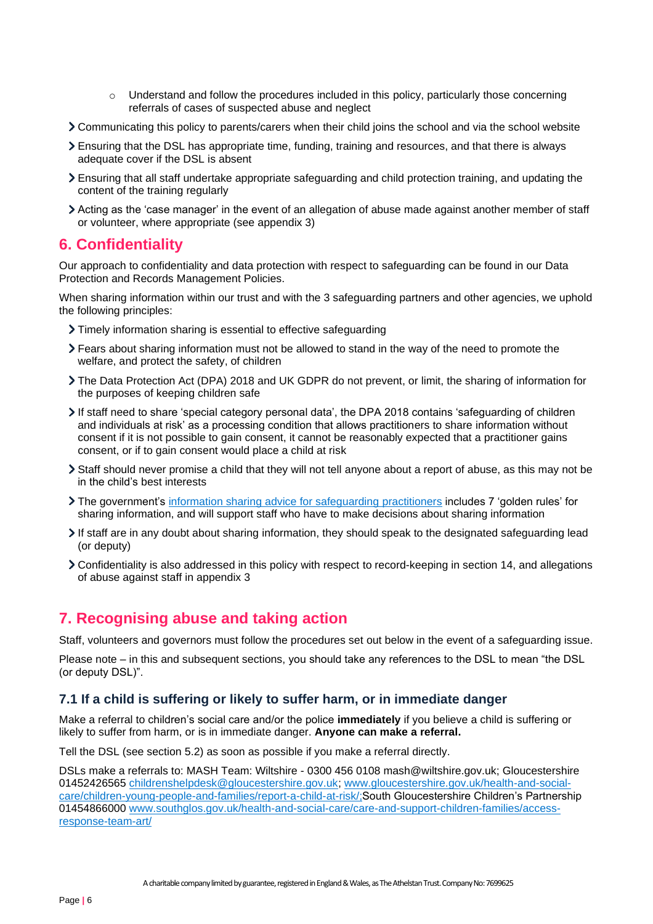- Understand and follow the procedures included in this policy, particularly those concerning referrals of cases of suspected abuse and neglect
- Communicating this policy to parents/carers when their child joins the school and via the school website
- Ensuring that the DSL has appropriate time, funding, training and resources, and that there is always adequate cover if the DSL is absent
- Ensuring that all staff undertake appropriate safeguarding and child protection training, and updating the content of the training regularly
- Acting as the 'case manager' in the event of an allegation of abuse made against another member of staff or volunteer, where appropriate (see appendix 3)

## <span id="page-5-0"></span>**6. Confidentiality**

Our approach to confidentiality and data protection with respect to safeguarding can be found in our Data Protection and Records Management Policies.

When sharing information within our trust and with the 3 safeguarding partners and other agencies, we uphold the following principles:

- Timely information sharing is essential to effective safeguarding
- Fears about sharing information must not be allowed to stand in the way of the need to promote the welfare, and protect the safety, of children
- The Data Protection Act (DPA) 2018 and UK GDPR do not prevent, or limit, the sharing of information for the purposes of keeping children safe
- If staff need to share 'special category personal data', the DPA 2018 contains 'safeguarding of children and individuals at risk' as a processing condition that allows practitioners to share information without consent if it is not possible to gain consent, it cannot be reasonably expected that a practitioner gains consent, or if to gain consent would place a child at risk
- Staff should never promise a child that they will not tell anyone about a report of abuse, as this may not be in the child's best interests
- The government's [information sharing advice for safeguarding practitioners](https://www.gov.uk/government/publications/safeguarding-practitioners-information-sharing-advice) includes 7 'golden rules' for sharing information, and will support staff who have to make decisions about sharing information
- If staff are in any doubt about sharing information, they should speak to the designated safeguarding lead (or deputy)
- Confidentiality is also addressed in this policy with respect to record-keeping in section 14, and allegations of abuse against staff in appendix 3

## <span id="page-5-1"></span>**7. Recognising abuse and taking action**

Staff, volunteers and governors must follow the procedures set out below in the event of a safeguarding issue.

Please note – in this and subsequent sections, you should take any references to the DSL to mean "the DSL (or deputy DSL)".

## **7.1 If a child is suffering or likely to suffer harm, or in immediate danger**

Make a referral to children's social care and/or the police **immediately** if you believe a child is suffering or likely to suffer from harm, or is in immediate danger. **Anyone can make a referral.**

Tell the DSL (see section 5.2) as soon as possible if you make a referral directly.

DSLs make a referrals to: MASH Team: Wiltshire - 0300 456 0108 mash@wiltshire.gov.uk; Gloucestershire 01452426565 [childrenshelpdesk@gloucestershire.gov.uk;](mailto:childrenshelpdesk@gloucestershire.gov.uk) [www.gloucestershire.gov.uk/health-and-social](http://www.gloucestershire.gov.uk/health-and-social-care/children-young-people-and-families/report-a-child-at-risk/)[care/children-young-people-and-families/report-a-child-at-risk/;](http://www.gloucestershire.gov.uk/health-and-social-care/children-young-people-and-families/report-a-child-at-risk/)South Gloucestershire Children's Partnership 01454866000 [www.southglos.gov.uk/health-and-social-care/care-and-support-children-families/access](http://www.southglos.gov.uk/health-and-social-care/care-and-support-children-families/access-response-team-art/)[response-team-art/](http://www.southglos.gov.uk/health-and-social-care/care-and-support-children-families/access-response-team-art/)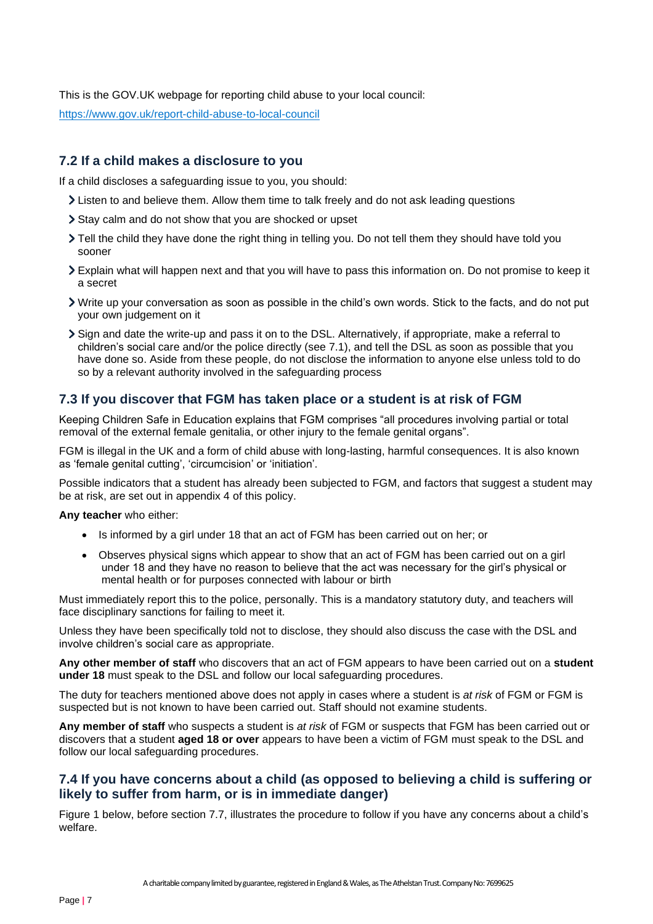This is the GOV.UK webpage for reporting child abuse to your local council:

<https://www.gov.uk/report-child-abuse-to-local-council>

## **7.2 If a child makes a disclosure to you**

If a child discloses a safeguarding issue to you, you should:

- If Listen to and believe them. Allow them time to talk freely and do not ask leading questions
- Stay calm and do not show that you are shocked or upset
- Tell the child they have done the right thing in telling you. Do not tell them they should have told you sooner
- Explain what will happen next and that you will have to pass this information on. Do not promise to keep it a secret
- Write up your conversation as soon as possible in the child's own words. Stick to the facts, and do not put your own judgement on it
- Sign and date the write-up and pass it on to the DSL. Alternatively, if appropriate, make a referral to children's social care and/or the police directly (see 7.1), and tell the DSL as soon as possible that you have done so. Aside from these people, do not disclose the information to anyone else unless told to do so by a relevant authority involved in the safeguarding process

## **7.3 If you discover that FGM has taken place or a student is at risk of FGM**

Keeping Children Safe in Education explains that FGM comprises "all procedures involving partial or total removal of the external female genitalia, or other injury to the female genital organs".

FGM is illegal in the UK and a form of child abuse with long-lasting, harmful consequences. It is also known as 'female genital cutting', 'circumcision' or 'initiation'.

Possible indicators that a student has already been subjected to FGM, and factors that suggest a student may be at risk, are set out in appendix 4 of this policy.

**Any teacher** who either:

- Is informed by a girl under 18 that an act of FGM has been carried out on her; or
- Observes physical signs which appear to show that an act of FGM has been carried out on a girl under 18 and they have no reason to believe that the act was necessary for the girl's physical or mental health or for purposes connected with labour or birth

Must immediately report this to the police, personally. This is a mandatory statutory duty, and teachers will face disciplinary sanctions for failing to meet it.

Unless they have been specifically told not to disclose, they should also discuss the case with the DSL and involve children's social care as appropriate.

**Any other member of staff** who discovers that an act of FGM appears to have been carried out on a **student under 18** must speak to the DSL and follow our local safeguarding procedures.

The duty for teachers mentioned above does not apply in cases where a student is *at risk* of FGM or FGM is suspected but is not known to have been carried out. Staff should not examine students.

**Any member of staff** who suspects a student is *at risk* of FGM or suspects that FGM has been carried out or discovers that a student **aged 18 or over** appears to have been a victim of FGM must speak to the DSL and follow our local safeguarding procedures.

## **7.4 If you have concerns about a child (as opposed to believing a child is suffering or likely to suffer from harm, or is in immediate danger)**

Figure 1 below, before section 7.7, illustrates the procedure to follow if you have any concerns about a child's welfare.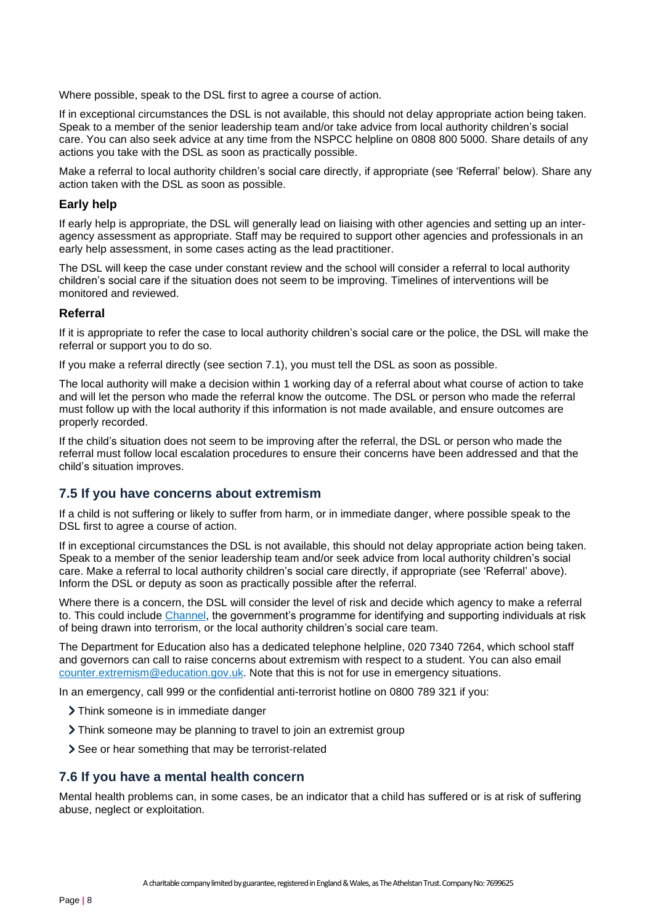Where possible, speak to the DSL first to agree a course of action.

If in exceptional circumstances the DSL is not available, this should not delay appropriate action being taken. Speak to a member of the senior leadership team and/or take advice from local authority children's social care. You can also seek advice at any time from the NSPCC helpline on 0808 800 5000. Share details of any actions you take with the DSL as soon as practically possible.

Make a referral to local authority children's social care directly, if appropriate (see 'Referral' below). Share any action taken with the DSL as soon as possible.

#### **Early help**

If early help is appropriate, the DSL will generally lead on liaising with other agencies and setting up an interagency assessment as appropriate. Staff may be required to support other agencies and professionals in an early help assessment, in some cases acting as the lead practitioner.

The DSL will keep the case under constant review and the school will consider a referral to local authority children's social care if the situation does not seem to be improving. Timelines of interventions will be monitored and reviewed.

#### **Referral**

If it is appropriate to refer the case to local authority children's social care or the police, the DSL will make the referral or support you to do so.

If you make a referral directly (see section 7.1), you must tell the DSL as soon as possible.

The local authority will make a decision within 1 working day of a referral about what course of action to take and will let the person who made the referral know the outcome. The DSL or person who made the referral must follow up with the local authority if this information is not made available, and ensure outcomes are properly recorded.

If the child's situation does not seem to be improving after the referral, the DSL or person who made the referral must follow local escalation procedures to ensure their concerns have been addressed and that the child's situation improves.

## **7.5 If you have concerns about extremism**

If a child is not suffering or likely to suffer from harm, or in immediate danger, where possible speak to the DSL first to agree a course of action.

If in exceptional circumstances the DSL is not available, this should not delay appropriate action being taken. Speak to a member of the senior leadership team and/or seek advice from local authority children's social care. Make a referral to local authority children's social care directly, if appropriate (see 'Referral' above). Inform the DSL or deputy as soon as practically possible after the referral.

Where there is a concern, the DSL will consider the level of risk and decide which agency to make a referral to. This could include [Channel,](https://www.gov.uk/government/publications/channel-guidance) the government's programme for identifying and supporting individuals at risk of being drawn into terrorism, or the local authority children's social care team.

The Department for Education also has a dedicated telephone helpline, 020 7340 7264, which school staff and governors can call to raise concerns about extremism with respect to a student. You can also email [counter.extremism@education.gov.uk.](mailto:counter.extremism@education.gov.uk) Note that this is not for use in emergency situations.

In an emergency, call 999 or the confidential anti-terrorist hotline on 0800 789 321 if you:

- Think someone is in immediate danger
- Think someone may be planning to travel to join an extremist group
- > See or hear something that may be terrorist-related

#### **7.6 If you have a mental health concern**

Mental health problems can, in some cases, be an indicator that a child has suffered or is at risk of suffering abuse, neglect or exploitation.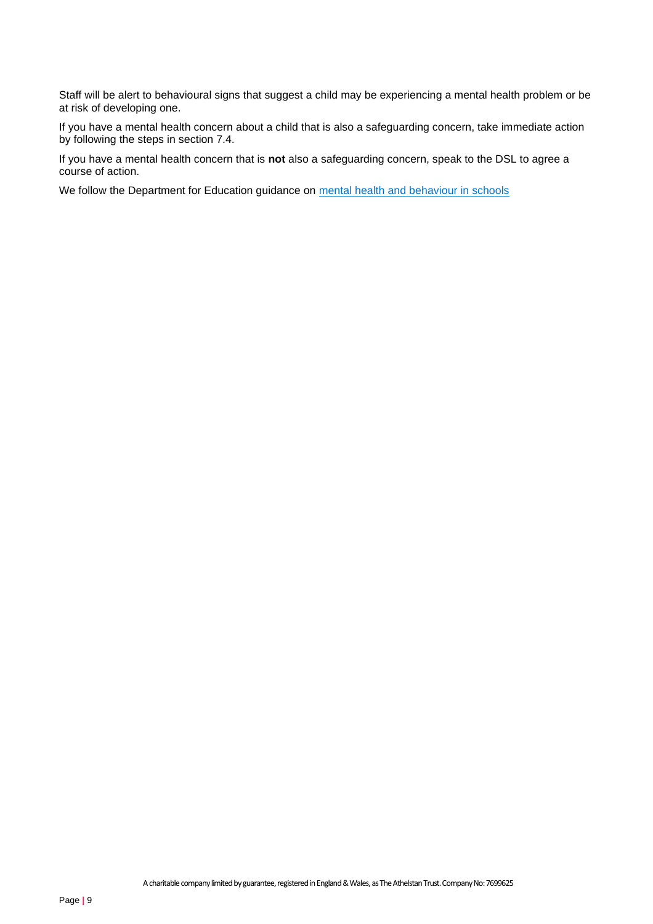Staff will be alert to behavioural signs that suggest a child may be experiencing a mental health problem or be at risk of developing one.

If you have a mental health concern about a child that is also a safeguarding concern, take immediate action by following the steps in section 7.4.

If you have a mental health concern that is **not** also a safeguarding concern, speak to the DSL to agree a course of action.

We follow the Department for Education guidance on [mental health and behaviour in schools](https://www.gov.uk/government/publications/mental-health-and-behaviour-in-schools--2)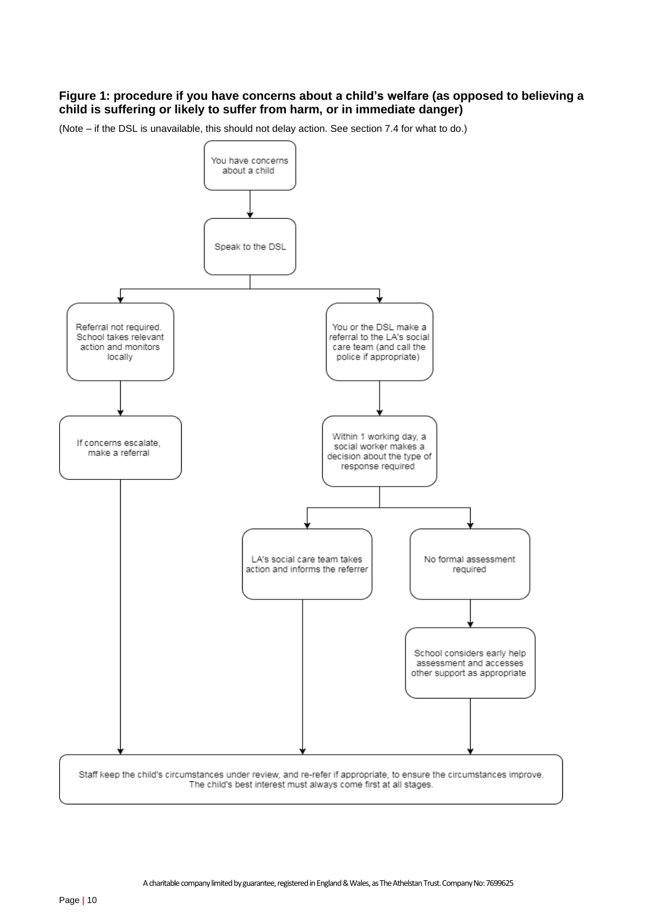### **Figure 1: procedure if you have concerns about a child's welfare (as opposed to believing a child is suffering or likely to suffer from harm, or in immediate danger)**

(Note – if the DSL is unavailable, this should not delay action. See section 7.4 for what to do.)

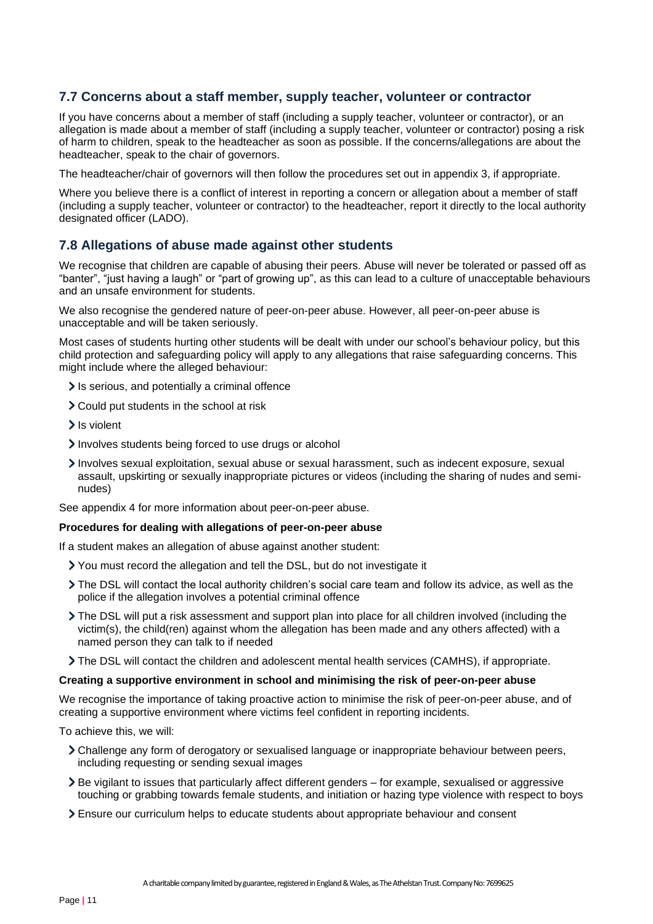## **7.7 Concerns about a staff member, supply teacher, volunteer or contractor**

If you have concerns about a member of staff (including a supply teacher, volunteer or contractor), or an allegation is made about a member of staff (including a supply teacher, volunteer or contractor) posing a risk of harm to children, speak to the headteacher as soon as possible. If the concerns/allegations are about the headteacher, speak to the chair of governors.

The headteacher/chair of governors will then follow the procedures set out in appendix 3, if appropriate.

Where you believe there is a conflict of interest in reporting a concern or allegation about a member of staff (including a supply teacher, volunteer or contractor) to the headteacher, report it directly to the local authority designated officer (LADO).

### **7.8 Allegations of abuse made against other students**

We recognise that children are capable of abusing their peers. Abuse will never be tolerated or passed off as "banter", "just having a laugh" or "part of growing up", as this can lead to a culture of unacceptable behaviours and an unsafe environment for students.

We also recognise the gendered nature of peer-on-peer abuse. However, all peer-on-peer abuse is unacceptable and will be taken seriously.

Most cases of students hurting other students will be dealt with under our school's behaviour policy, but this child protection and safeguarding policy will apply to any allegations that raise safeguarding concerns. This might include where the alleged behaviour:

- If is serious, and potentially a criminal offence
- Could put students in the school at risk
- > Is violent
- Involves students being forced to use drugs or alcohol
- Involves sexual exploitation, sexual abuse or sexual harassment, such as indecent exposure, sexual assault, upskirting or sexually inappropriate pictures or videos (including the sharing of nudes and seminudes)

See appendix 4 for more information about peer-on-peer abuse.

#### **Procedures for dealing with allegations of peer-on-peer abuse**

If a student makes an allegation of abuse against another student:

- You must record the allegation and tell the DSL, but do not investigate it
- The DSL will contact the local authority children's social care team and follow its advice, as well as the police if the allegation involves a potential criminal offence
- The DSL will put a risk assessment and support plan into place for all children involved (including the victim(s), the child(ren) against whom the allegation has been made and any others affected) with a named person they can talk to if needed
- The DSL will contact the children and adolescent mental health services (CAMHS), if appropriate.

#### **Creating a supportive environment in school and minimising the risk of peer-on-peer abuse**

We recognise the importance of taking proactive action to minimise the risk of peer-on-peer abuse, and of creating a supportive environment where victims feel confident in reporting incidents.

To achieve this, we will:

- Challenge any form of derogatory or sexualised language or inappropriate behaviour between peers, including requesting or sending sexual images
- $\geq$  Be vigilant to issues that particularly affect different genders for example, sexualised or aggressive touching or grabbing towards female students, and initiation or hazing type violence with respect to boys
- Ensure our curriculum helps to educate students about appropriate behaviour and consent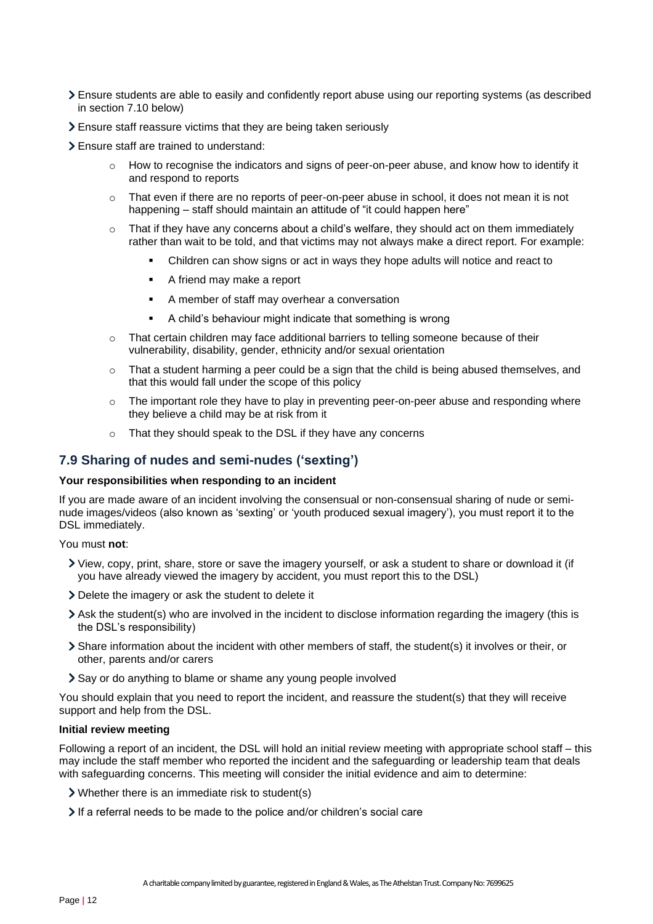- Ensure students are able to easily and confidently report abuse using our reporting systems (as described in section 7.10 below)
- Ensure staff reassure victims that they are being taken seriously
- Ensure staff are trained to understand:
	- How to recognise the indicators and signs of peer-on-peer abuse, and know how to identify it and respond to reports
	- $\circ$  That even if there are no reports of peer-on-peer abuse in school, it does not mean it is not happening – staff should maintain an attitude of "it could happen here"
	- $\circ$  That if they have any concerns about a child's welfare, they should act on them immediately rather than wait to be told, and that victims may not always make a direct report. For example:
		- Children can show signs or act in ways they hope adults will notice and react to
		- A friend may make a report
		- A member of staff may overhear a conversation
		- A child's behaviour might indicate that something is wrong
	- $\circ$  That certain children may face additional barriers to telling someone because of their vulnerability, disability, gender, ethnicity and/or sexual orientation
	- $\circ$  That a student harming a peer could be a sign that the child is being abused themselves, and that this would fall under the scope of this policy
	- o The important role they have to play in preventing peer-on-peer abuse and responding where they believe a child may be at risk from it
	- o That they should speak to the DSL if they have any concerns

## **7.9 Sharing of nudes and semi-nudes ('sexting')**

#### **Your responsibilities when responding to an incident**

If you are made aware of an incident involving the consensual or non-consensual sharing of nude or seminude images/videos (also known as 'sexting' or 'youth produced sexual imagery'), you must report it to the DSL immediately.

You must **not**:

- View, copy, print, share, store or save the imagery yourself, or ask a student to share or download it (if you have already viewed the imagery by accident, you must report this to the DSL)
- Delete the imagery or ask the student to delete it
- Ask the student(s) who are involved in the incident to disclose information regarding the imagery (this is the DSL's responsibility)
- Share information about the incident with other members of staff, the student(s) it involves or their, or other, parents and/or carers
- > Say or do anything to blame or shame any young people involved

You should explain that you need to report the incident, and reassure the student(s) that they will receive support and help from the DSL.

#### **Initial review meeting**

Following a report of an incident, the DSL will hold an initial review meeting with appropriate school staff – this may include the staff member who reported the incident and the safeguarding or leadership team that deals with safeguarding concerns. This meeting will consider the initial evidence and aim to determine:

- Whether there is an immediate risk to student(s)
- If a referral needs to be made to the police and/or children's social care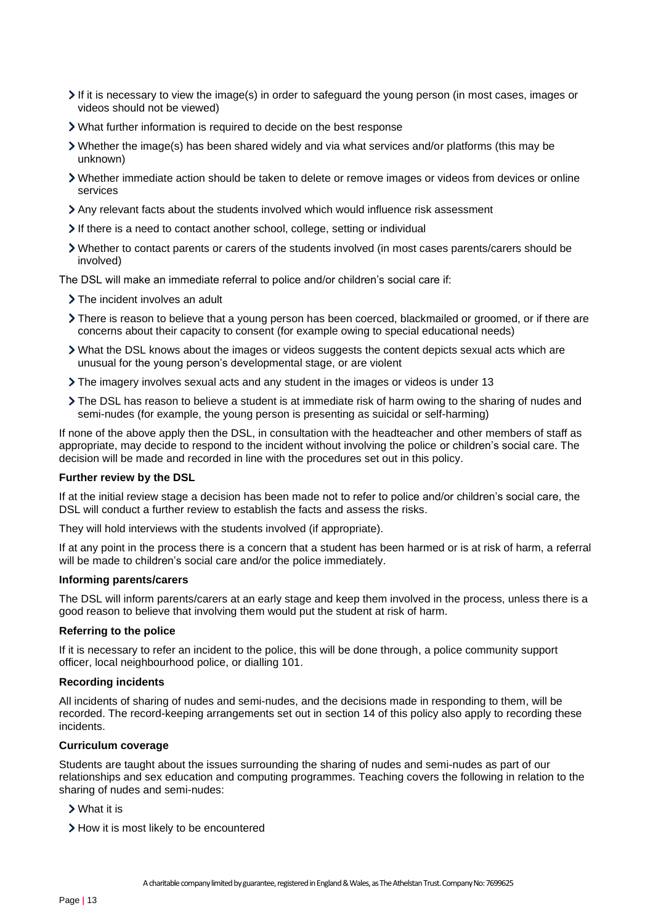- $\geq$  If it is necessary to view the image(s) in order to safeguard the young person (in most cases, images or videos should not be viewed)
- What further information is required to decide on the best response
- Whether the image(s) has been shared widely and via what services and/or platforms (this may be unknown)
- Whether immediate action should be taken to delete or remove images or videos from devices or online services
- Any relevant facts about the students involved which would influence risk assessment
- If there is a need to contact another school, college, setting or individual
- Whether to contact parents or carers of the students involved (in most cases parents/carers should be involved)

The DSL will make an immediate referral to police and/or children's social care if:

- > The incident involves an adult
- There is reason to believe that a young person has been coerced, blackmailed or groomed, or if there are concerns about their capacity to consent (for example owing to special educational needs)
- What the DSL knows about the images or videos suggests the content depicts sexual acts which are unusual for the young person's developmental stage, or are violent
- The imagery involves sexual acts and any student in the images or videos is under 13
- The DSL has reason to believe a student is at immediate risk of harm owing to the sharing of nudes and semi-nudes (for example, the young person is presenting as suicidal or self-harming)

If none of the above apply then the DSL, in consultation with the headteacher and other members of staff as appropriate, may decide to respond to the incident without involving the police or children's social care. The decision will be made and recorded in line with the procedures set out in this policy.

#### **Further review by the DSL**

If at the initial review stage a decision has been made not to refer to police and/or children's social care, the DSL will conduct a further review to establish the facts and assess the risks.

They will hold interviews with the students involved (if appropriate).

If at any point in the process there is a concern that a student has been harmed or is at risk of harm, a referral will be made to children's social care and/or the police immediately.

#### **Informing parents/carers**

The DSL will inform parents/carers at an early stage and keep them involved in the process, unless there is a good reason to believe that involving them would put the student at risk of harm.

#### **Referring to the police**

If it is necessary to refer an incident to the police, this will be done through, a police community support officer, local neighbourhood police, or dialling 101.

#### **Recording incidents**

All incidents of sharing of nudes and semi-nudes, and the decisions made in responding to them, will be recorded. The record-keeping arrangements set out in section 14 of this policy also apply to recording these incidents.

#### **Curriculum coverage**

Students are taught about the issues surrounding the sharing of nudes and semi-nudes as part of our relationships and sex education and computing programmes. Teaching covers the following in relation to the sharing of nudes and semi-nudes:

- What it is
- > How it is most likely to be encountered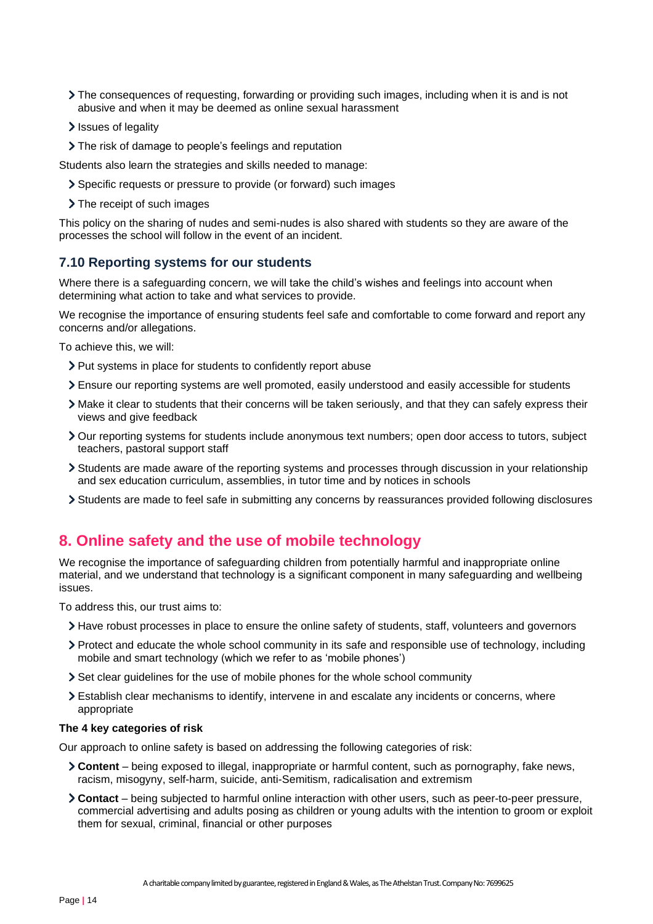- The consequences of requesting, forwarding or providing such images, including when it is and is not abusive and when it may be deemed as online sexual harassment
- Issues of legality
- The risk of damage to people's feelings and reputation

Students also learn the strategies and skills needed to manage:

- Specific requests or pressure to provide (or forward) such images
- > The receipt of such images

This policy on the sharing of nudes and semi-nudes is also shared with students so they are aware of the processes the school will follow in the event of an incident.

## **7.10 Reporting systems for our students**

Where there is a safeguarding concern, we will take the child's wishes and feelings into account when determining what action to take and what services to provide.

We recognise the importance of ensuring students feel safe and comfortable to come forward and report any concerns and/or allegations.

To achieve this, we will:

- > Put systems in place for students to confidently report abuse
- Ensure our reporting systems are well promoted, easily understood and easily accessible for students
- Make it clear to students that their concerns will be taken seriously, and that they can safely express their views and give feedback
- Our reporting systems for students include anonymous text numbers; open door access to tutors, subject teachers, pastoral support staff
- Students are made aware of the reporting systems and processes through discussion in your relationship and sex education curriculum, assemblies, in tutor time and by notices in schools
- Students are made to feel safe in submitting any concerns by reassurances provided following disclosures

## <span id="page-13-0"></span>**8. Online safety and the use of mobile technology**

We recognise the importance of safeguarding children from potentially harmful and inappropriate online material, and we understand that technology is a significant component in many safeguarding and wellbeing issues.

To address this, our trust aims to:

- Have robust processes in place to ensure the online safety of students, staff, volunteers and governors
- Protect and educate the whole school community in its safe and responsible use of technology, including mobile and smart technology (which we refer to as 'mobile phones')
- Set clear guidelines for the use of mobile phones for the whole school community
- Establish clear mechanisms to identify, intervene in and escalate any incidents or concerns, where appropriate

#### **The 4 key categories of risk**

Our approach to online safety is based on addressing the following categories of risk:

- **Content** being exposed to illegal, inappropriate or harmful content, such as pornography, fake news, racism, misogyny, self-harm, suicide, anti-Semitism, radicalisation and extremism
- **Contact** being subjected to harmful online interaction with other users, such as peer-to-peer pressure, commercial advertising and adults posing as children or young adults with the intention to groom or exploit them for sexual, criminal, financial or other purposes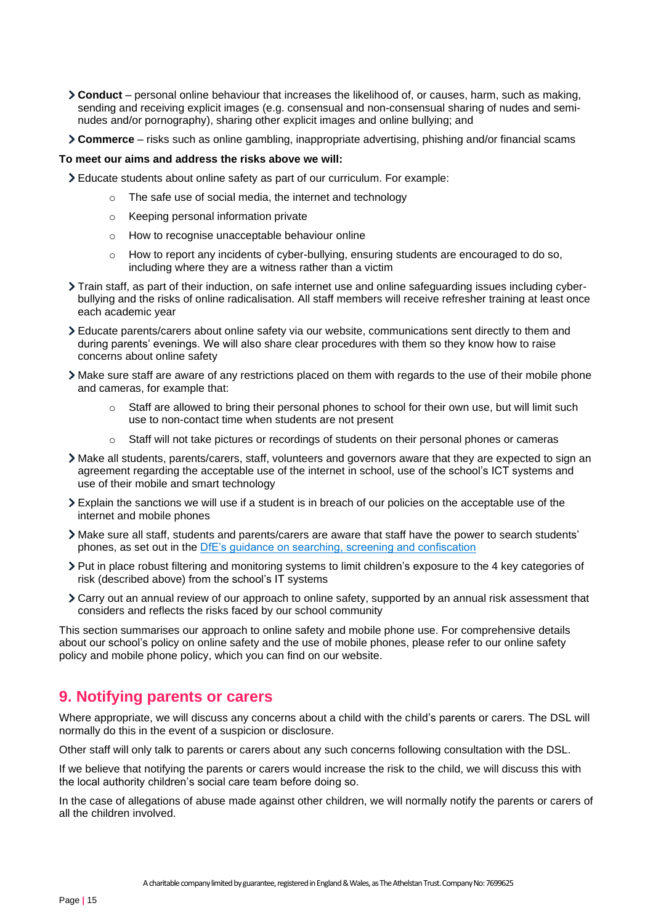- **Conduct** personal online behaviour that increases the likelihood of, or causes, harm, such as making, sending and receiving explicit images (e.g. consensual and non-consensual sharing of nudes and seminudes and/or pornography), sharing other explicit images and online bullying; and
- **Commerce** risks such as online gambling, inappropriate advertising, phishing and/or financial scams

#### **To meet our aims and address the risks above we will:**

Educate students about online safety as part of our curriculum. For example:

- o The safe use of social media, the internet and technology
- o Keeping personal information private
- o How to recognise unacceptable behaviour online
- o How to report any incidents of cyber-bullying, ensuring students are encouraged to do so, including where they are a witness rather than a victim
- Train staff, as part of their induction, on safe internet use and online safeguarding issues including cyberbullying and the risks of online radicalisation. All staff members will receive refresher training at least once each academic year
- Educate parents/carers about online safety via our website, communications sent directly to them and during parents' evenings. We will also share clear procedures with them so they know how to raise concerns about online safety
- Make sure staff are aware of any restrictions placed on them with regards to the use of their mobile phone and cameras, for example that:
	- o Staff are allowed to bring their personal phones to school for their own use, but will limit such use to non-contact time when students are not present
	- o Staff will not take pictures or recordings of students on their personal phones or cameras
- Make all students, parents/carers, staff, volunteers and governors aware that they are expected to sign an agreement regarding the acceptable use of the internet in school, use of the school's ICT systems and use of their mobile and smart technology
- Explain the sanctions we will use if a student is in breach of our policies on the acceptable use of the internet and mobile phones
- Make sure all staff, students and parents/carers are aware that staff have the power to search students' phones, as set out in the [DfE's guidance on searching, screening and confiscation](https://www.gov.uk/government/publications/searching-screening-and-confiscation)
- Put in place robust filtering and monitoring systems to limit children's exposure to the 4 key categories of risk (described above) from the school's IT systems
- Carry out an annual review of our approach to online safety, supported by an annual risk assessment that considers and reflects the risks faced by our school community

This section summarises our approach to online safety and mobile phone use. For comprehensive details about our school's policy on online safety and the use of mobile phones, please refer to our online safety policy and mobile phone policy, which you can find on our website.

## <span id="page-14-0"></span>**9. Notifying parents or carers**

Where appropriate, we will discuss any concerns about a child with the child's parents or carers. The DSL will normally do this in the event of a suspicion or disclosure.

Other staff will only talk to parents or carers about any such concerns following consultation with the DSL.

If we believe that notifying the parents or carers would increase the risk to the child, we will discuss this with the local authority children's social care team before doing so.

In the case of allegations of abuse made against other children, we will normally notify the parents or carers of all the children involved.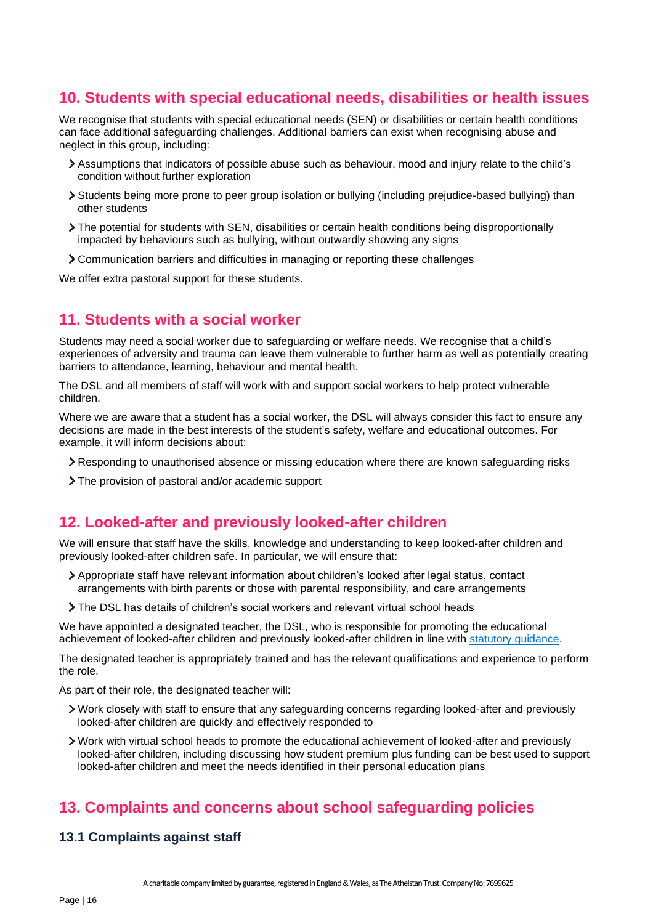## <span id="page-15-0"></span>**10. Students with special educational needs, disabilities or health issues**

We recognise that students with special educational needs (SEN) or disabilities or certain health conditions can face additional safeguarding challenges. Additional barriers can exist when recognising abuse and neglect in this group, including:

- Assumptions that indicators of possible abuse such as behaviour, mood and injury relate to the child's condition without further exploration
- Students being more prone to peer group isolation or bullying (including prejudice-based bullying) than other students
- The potential for students with SEN, disabilities or certain health conditions being disproportionally impacted by behaviours such as bullying, without outwardly showing any signs
- Communication barriers and difficulties in managing or reporting these challenges

We offer extra pastoral support for these students.

## <span id="page-15-1"></span>**11. Students with a social worker**

Students may need a social worker due to safeguarding or welfare needs. We recognise that a child's experiences of adversity and trauma can leave them vulnerable to further harm as well as potentially creating barriers to attendance, learning, behaviour and mental health.

The DSL and all members of staff will work with and support social workers to help protect vulnerable children.

Where we are aware that a student has a social worker, the DSL will always consider this fact to ensure any decisions are made in the best interests of the student's safety, welfare and educational outcomes. For example, it will inform decisions about:

- Responding to unauthorised absence or missing education where there are known safeguarding risks
- The provision of pastoral and/or academic support

## <span id="page-15-2"></span>**12. Looked-after and previously looked-after children**

We will ensure that staff have the skills, knowledge and understanding to keep looked-after children and previously looked-after children safe. In particular, we will ensure that:

- Appropriate staff have relevant information about children's looked after legal status, contact arrangements with birth parents or those with parental responsibility, and care arrangements
- The DSL has details of children's social workers and relevant virtual school heads

We have appointed a designated teacher, the DSL, who is responsible for promoting the educational achievement of looked-after children and previously looked-after children in line with [statutory guidance.](https://www.gov.uk/government/publications/designated-teacher-for-looked-after-children)

The designated teacher is appropriately trained and has the relevant qualifications and experience to perform the role.

As part of their role, the designated teacher will:

- Work closely with staff to ensure that any safeguarding concerns regarding looked-after and previously looked-after children are quickly and effectively responded to
- Work with virtual school heads to promote the educational achievement of looked-after and previously looked-after children, including discussing how student premium plus funding can be best used to support looked-after children and meet the needs identified in their personal education plans

## <span id="page-15-3"></span>**13. Complaints and concerns about school safeguarding policies**

## **13.1 Complaints against staff**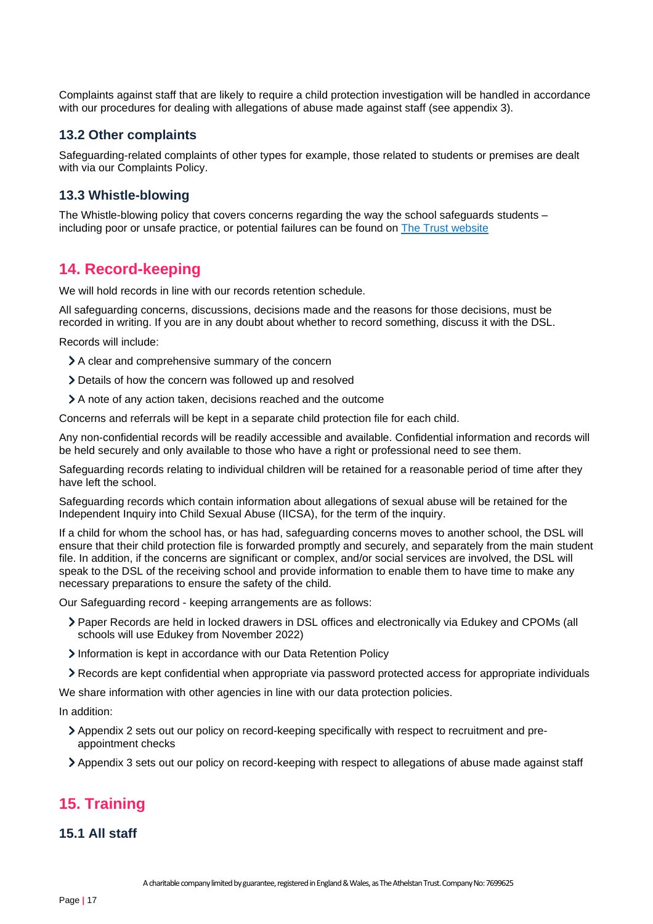Complaints against staff that are likely to require a child protection investigation will be handled in accordance with our procedures for dealing with allegations of abuse made against staff (see appendix 3).

### **13.2 Other complaints**

Safeguarding-related complaints of other types for example, those related to students or premises are dealt with via our Complaints Policy.

### **13.3 Whistle-blowing**

The Whistle-blowing policy that covers concerns regarding the way the school safeguards students – including poor or unsafe practice, or potential failures can be found on [The Trust website](https://theathelstantrust.org/wp-content/uploads/2021/06/Whistleblower-Policy-extracted-from-Employment-Manual.pdf)

## <span id="page-16-0"></span>**14. Record-keeping**

We will hold records in line with our records retention schedule.

All safeguarding concerns, discussions, decisions made and the reasons for those decisions, must be recorded in writing. If you are in any doubt about whether to record something, discuss it with the DSL.

Records will include:

- A clear and comprehensive summary of the concern
- Details of how the concern was followed up and resolved
- A note of any action taken, decisions reached and the outcome

Concerns and referrals will be kept in a separate child protection file for each child.

Any non-confidential records will be readily accessible and available. Confidential information and records will be held securely and only available to those who have a right or professional need to see them.

Safeguarding records relating to individual children will be retained for a reasonable period of time after they have left the school.

Safeguarding records which contain information about allegations of sexual abuse will be retained for the Independent Inquiry into Child Sexual Abuse (IICSA), for the term of the inquiry.

If a child for whom the school has, or has had, safeguarding concerns moves to another school, the DSL will ensure that their child protection file is forwarded promptly and securely, and separately from the main student file. In addition, if the concerns are significant or complex, and/or social services are involved, the DSL will speak to the DSL of the receiving school and provide information to enable them to have time to make any necessary preparations to ensure the safety of the child.

Our Safeguarding record - keeping arrangements are as follows:

- Paper Records are held in locked drawers in DSL offices and electronically via Edukey and CPOMs (all schools will use Edukey from November 2022)
- Information is kept in accordance with our Data Retention Policy
- Records are kept confidential when appropriate via password protected access for appropriate individuals

We share information with other agencies in line with our data protection policies.

In addition:

- Appendix 2 sets out our policy on record-keeping specifically with respect to recruitment and preappointment checks
- Appendix 3 sets out our policy on record-keeping with respect to allegations of abuse made against staff

## <span id="page-16-1"></span>**15. Training**

#### **15.1 All staff**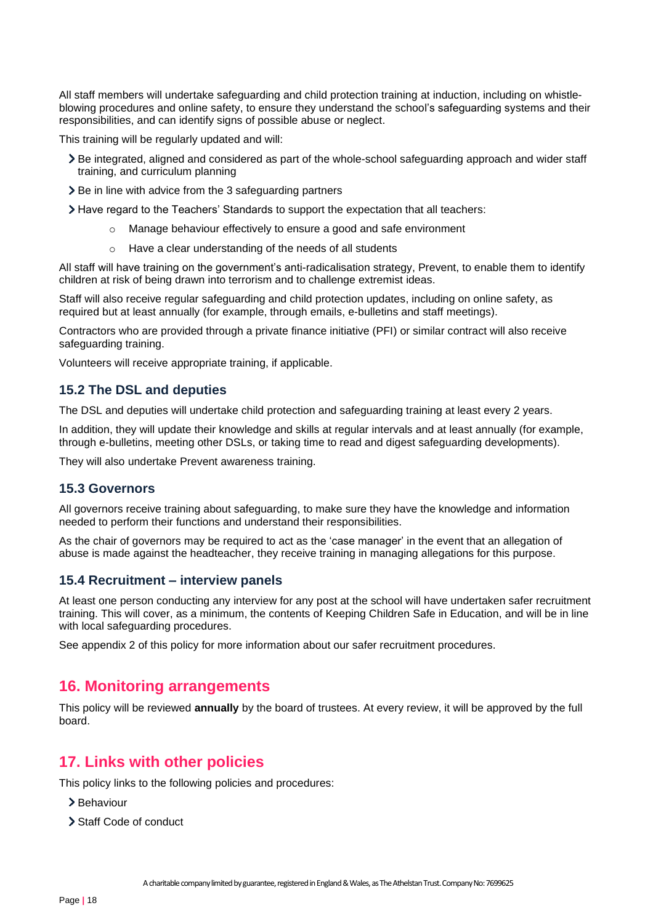All staff members will undertake safeguarding and child protection training at induction, including on whistleblowing procedures and online safety, to ensure they understand the school's safeguarding systems and their responsibilities, and can identify signs of possible abuse or neglect.

This training will be regularly updated and will:

- Be integrated, aligned and considered as part of the whole-school safeguarding approach and wider staff training, and curriculum planning
- > Be in line with advice from the 3 safeguarding partners
- Have regard to the Teachers' Standards to support the expectation that all teachers:
	- o Manage behaviour effectively to ensure a good and safe environment
	- o Have a clear understanding of the needs of all students

All staff will have training on the government's anti-radicalisation strategy, Prevent, to enable them to identify children at risk of being drawn into terrorism and to challenge extremist ideas.

Staff will also receive regular safeguarding and child protection updates, including on online safety, as required but at least annually (for example, through emails, e-bulletins and staff meetings).

Contractors who are provided through a private finance initiative (PFI) or similar contract will also receive safeguarding training.

Volunteers will receive appropriate training, if applicable.

## **15.2 The DSL and deputies**

The DSL and deputies will undertake child protection and safeguarding training at least every 2 years.

In addition, they will update their knowledge and skills at regular intervals and at least annually (for example, through e-bulletins, meeting other DSLs, or taking time to read and digest safeguarding developments).

They will also undertake Prevent awareness training.

## **15.3 Governors**

All governors receive training about safeguarding, to make sure they have the knowledge and information needed to perform their functions and understand their responsibilities.

As the chair of governors may be required to act as the 'case manager' in the event that an allegation of abuse is made against the headteacher, they receive training in managing allegations for this purpose.

## **15.4 Recruitment – interview panels**

At least one person conducting any interview for any post at the school will have undertaken safer recruitment training. This will cover, as a minimum, the contents of Keeping Children Safe in Education, and will be in line with local safeguarding procedures.

See appendix 2 of this policy for more information about our safer recruitment procedures.

## <span id="page-17-0"></span>**16. Monitoring arrangements**

This policy will be reviewed **annually** by the board of trustees. At every review, it will be approved by the full board.

## <span id="page-17-1"></span>**17. Links with other policies**

This policy links to the following policies and procedures:

- > Behaviour
- > Staff Code of conduct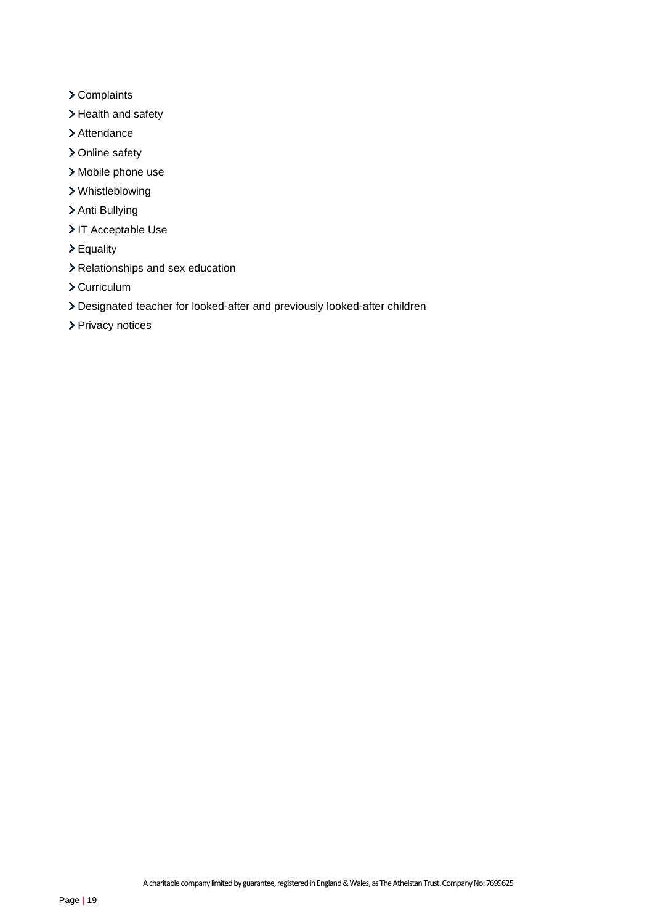- > Complaints
- > Health and safety
- > Attendance
- > Online safety
- Mobile phone use
- Whistleblowing
- > Anti Bullying
- > IT Acceptable Use
- Equality
- > Relationships and sex education
- Curriculum
- Designated teacher for looked-after and previously looked-after children
- > Privacy notices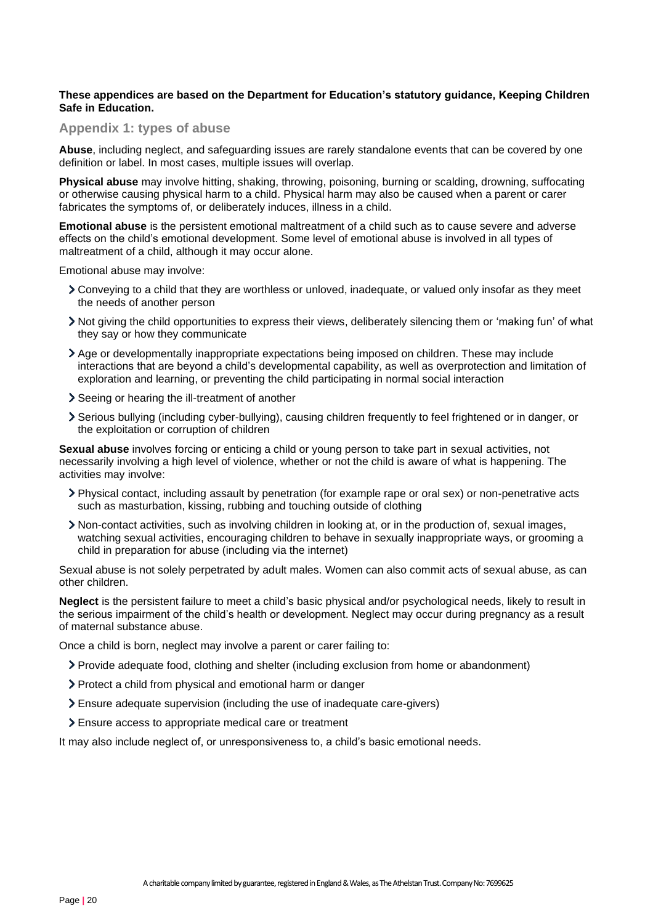#### **These appendices are based on the Department for Education's statutory guidance, Keeping Children Safe in Education.**

#### <span id="page-19-0"></span>**Appendix 1: types of abuse**

**Abuse**, including neglect, and safeguarding issues are rarely standalone events that can be covered by one definition or label. In most cases, multiple issues will overlap.

**Physical abuse** may involve hitting, shaking, throwing, poisoning, burning or scalding, drowning, suffocating or otherwise causing physical harm to a child. Physical harm may also be caused when a parent or carer fabricates the symptoms of, or deliberately induces, illness in a child.

**Emotional abuse** is the persistent emotional maltreatment of a child such as to cause severe and adverse effects on the child's emotional development. Some level of emotional abuse is involved in all types of maltreatment of a child, although it may occur alone.

Emotional abuse may involve:

- Conveying to a child that they are worthless or unloved, inadequate, or valued only insofar as they meet the needs of another person
- Not giving the child opportunities to express their views, deliberately silencing them or 'making fun' of what they say or how they communicate
- Age or developmentally inappropriate expectations being imposed on children. These may include interactions that are beyond a child's developmental capability, as well as overprotection and limitation of exploration and learning, or preventing the child participating in normal social interaction
- Seeing or hearing the ill-treatment of another
- Serious bullying (including cyber-bullying), causing children frequently to feel frightened or in danger, or the exploitation or corruption of children

**Sexual abuse** involves forcing or enticing a child or young person to take part in sexual activities, not necessarily involving a high level of violence, whether or not the child is aware of what is happening. The activities may involve:

- Physical contact, including assault by penetration (for example rape or oral sex) or non-penetrative acts such as masturbation, kissing, rubbing and touching outside of clothing
- Non-contact activities, such as involving children in looking at, or in the production of, sexual images, watching sexual activities, encouraging children to behave in sexually inappropriate ways, or grooming a child in preparation for abuse (including via the internet)

Sexual abuse is not solely perpetrated by adult males. Women can also commit acts of sexual abuse, as can other children.

**Neglect** is the persistent failure to meet a child's basic physical and/or psychological needs, likely to result in the serious impairment of the child's health or development. Neglect may occur during pregnancy as a result of maternal substance abuse.

Once a child is born, neglect may involve a parent or carer failing to:

- Provide adequate food, clothing and shelter (including exclusion from home or abandonment)
- Protect a child from physical and emotional harm or danger
- Ensure adequate supervision (including the use of inadequate care-givers)
- Ensure access to appropriate medical care or treatment

It may also include neglect of, or unresponsiveness to, a child's basic emotional needs.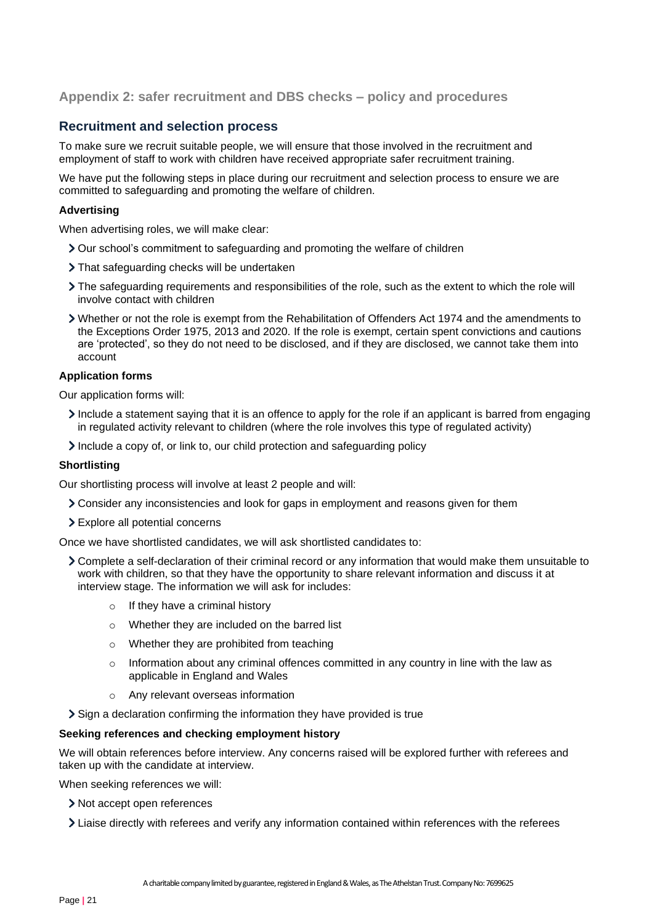## <span id="page-20-0"></span>**Appendix 2: safer recruitment and DBS checks – policy and procedures**

## **Recruitment and selection process**

To make sure we recruit suitable people, we will ensure that those involved in the recruitment and employment of staff to work with children have received appropriate safer recruitment training.

We have put the following steps in place during our recruitment and selection process to ensure we are committed to safeguarding and promoting the welfare of children.

### **Advertising**

When advertising roles, we will make clear:

- Our school's commitment to safeguarding and promoting the welfare of children
- > That safeguarding checks will be undertaken
- The safeguarding requirements and responsibilities of the role, such as the extent to which the role will involve contact with children
- Whether or not the role is exempt from the Rehabilitation of Offenders Act 1974 and the amendments to the Exceptions Order 1975, 2013 and 2020. If the role is exempt, certain spent convictions and cautions are 'protected', so they do not need to be disclosed, and if they are disclosed, we cannot take them into account

#### **Application forms**

Our application forms will:

- Include a statement saying that it is an offence to apply for the role if an applicant is barred from engaging in regulated activity relevant to children (where the role involves this type of regulated activity)
- Include a copy of, or link to, our child protection and safeguarding policy

#### **Shortlisting**

Our shortlisting process will involve at least 2 people and will:

- Consider any inconsistencies and look for gaps in employment and reasons given for them
- Explore all potential concerns

Once we have shortlisted candidates, we will ask shortlisted candidates to:

- Complete a self-declaration of their criminal record or any information that would make them unsuitable to work with children, so that they have the opportunity to share relevant information and discuss it at interview stage. The information we will ask for includes:
	- o If they have a criminal history
	- o Whether they are included on the barred list
	- o Whether they are prohibited from teaching
	- $\circ$  Information about any criminal offences committed in any country in line with the law as applicable in England and Wales
	- o Any relevant overseas information
- Sign a declaration confirming the information they have provided is true

#### **Seeking references and checking employment history**

We will obtain references before interview. Any concerns raised will be explored further with referees and taken up with the candidate at interview.

When seeking references we will:

- > Not accept open references
- Liaise directly with referees and verify any information contained within references with the referees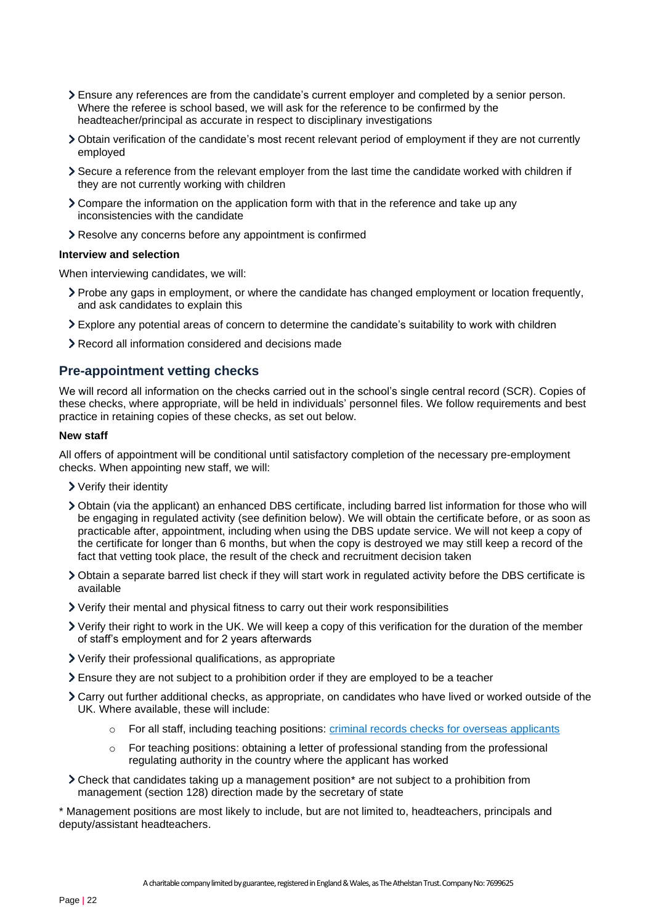- Ensure any references are from the candidate's current employer and completed by a senior person. Where the referee is school based, we will ask for the reference to be confirmed by the headteacher/principal as accurate in respect to disciplinary investigations
- Obtain verification of the candidate's most recent relevant period of employment if they are not currently employed
- Secure a reference from the relevant employer from the last time the candidate worked with children if they are not currently working with children
- Compare the information on the application form with that in the reference and take up any inconsistencies with the candidate
- Resolve any concerns before any appointment is confirmed

#### **Interview and selection**

When interviewing candidates, we will:

- Probe any gaps in employment, or where the candidate has changed employment or location frequently, and ask candidates to explain this
- Explore any potential areas of concern to determine the candidate's suitability to work with children
- Record all information considered and decisions made

## **Pre-appointment vetting checks**

We will record all information on the checks carried out in the school's single central record (SCR). Copies of these checks, where appropriate, will be held in individuals' personnel files. We follow requirements and best practice in retaining copies of these checks, as set out below.

#### **New staff**

All offers of appointment will be conditional until satisfactory completion of the necessary pre-employment checks. When appointing new staff, we will:

- Verify their identity
- Obtain (via the applicant) an enhanced DBS certificate, including barred list information for those who will be engaging in regulated activity (see definition below). We will obtain the certificate before, or as soon as practicable after, appointment, including when using the DBS update service. We will not keep a copy of the certificate for longer than 6 months, but when the copy is destroyed we may still keep a record of the fact that vetting took place, the result of the check and recruitment decision taken
- Obtain a separate barred list check if they will start work in regulated activity before the DBS certificate is available
- Verify their mental and physical fitness to carry out their work responsibilities
- Verify their right to work in the UK. We will keep a copy of this verification for the duration of the member of staff's employment and for 2 years afterwards
- Verify their professional qualifications, as appropriate
- Ensure they are not subject to a prohibition order if they are employed to be a teacher
- Carry out further additional checks, as appropriate, on candidates who have lived or worked outside of the UK. Where available, these will include:
	- $\circ$  For all staff, including teaching positions: [criminal records checks for overseas applicants](https://www.gov.uk/government/publications/criminal-records-checks-for-overseas-applicants)
	- o For teaching positions: obtaining a letter of professional standing from the professional regulating authority in the country where the applicant has worked
- Check that candidates taking up a management position\* are not subject to a prohibition from management (section 128) direction made by the secretary of state

\* Management positions are most likely to include, but are not limited to, headteachers, principals and deputy/assistant headteachers.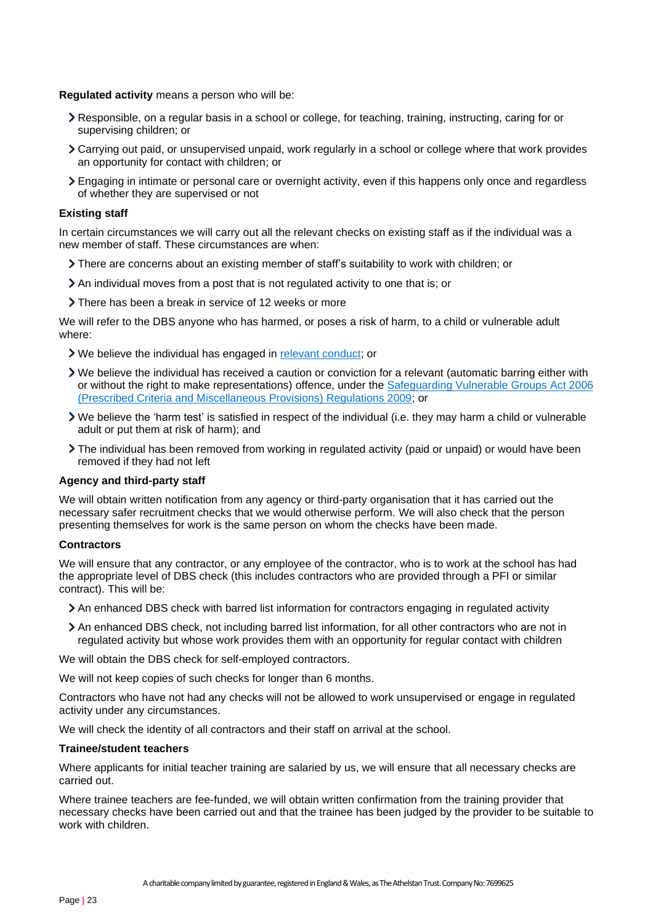**Regulated activity** means a person who will be:

- Responsible, on a regular basis in a school or college, for teaching, training, instructing, caring for or supervising children; or
- Carrying out paid, or unsupervised unpaid, work regularly in a school or college where that work provides an opportunity for contact with children; or
- Engaging in intimate or personal care or overnight activity, even if this happens only once and regardless of whether they are supervised or not

#### **Existing staff**

In certain circumstances we will carry out all the relevant checks on existing staff as if the individual was a new member of staff. These circumstances are when:

- There are concerns about an existing member of staff's suitability to work with children; or
- An individual moves from a post that is not regulated activity to one that is; or
- There has been a break in service of 12 weeks or more

We will refer to the DBS anyone who has harmed, or poses a risk of harm, to a child or vulnerable adult where:

- We believe the individual has engaged in [relevant conduct;](https://www.gov.uk/guidance/making-barring-referrals-to-the-dbs#relevant-conduct-in-relation-to-children) or
- We believe the individual has received a caution or conviction for a relevant (automatic barring either with or without the right to make representations) offence, under the [Safeguarding Vulnerable](http://www.legislation.gov.uk/uksi/2009/37/contents/made) Groups Act 2006 [\(Prescribed Criteria and Miscellaneous Provisions\) Regulations 2009;](http://www.legislation.gov.uk/uksi/2009/37/contents/made) or
- We believe the 'harm test' is satisfied in respect of the individual (i.e. they may harm a child or vulnerable adult or put them at risk of harm); and
- The individual has been removed from working in regulated activity (paid or unpaid) or would have been removed if they had not left

#### **Agency and third-party staff**

We will obtain written notification from any agency or third-party organisation that it has carried out the necessary safer recruitment checks that we would otherwise perform. We will also check that the person presenting themselves for work is the same person on whom the checks have been made.

#### **Contractors**

We will ensure that any contractor, or any employee of the contractor, who is to work at the school has had the appropriate level of DBS check (this includes contractors who are provided through a PFI or similar contract). This will be:

- An enhanced DBS check with barred list information for contractors engaging in regulated activity
- An enhanced DBS check, not including barred list information, for all other contractors who are not in regulated activity but whose work provides them with an opportunity for regular contact with children

We will obtain the DBS check for self-employed contractors.

We will not keep copies of such checks for longer than 6 months.

Contractors who have not had any checks will not be allowed to work unsupervised or engage in regulated activity under any circumstances.

We will check the identity of all contractors and their staff on arrival at the school.

#### **Trainee/student teachers**

Where applicants for initial teacher training are salaried by us, we will ensure that all necessary checks are carried out.

Where trainee teachers are fee-funded, we will obtain written confirmation from the training provider that necessary checks have been carried out and that the trainee has been judged by the provider to be suitable to work with children.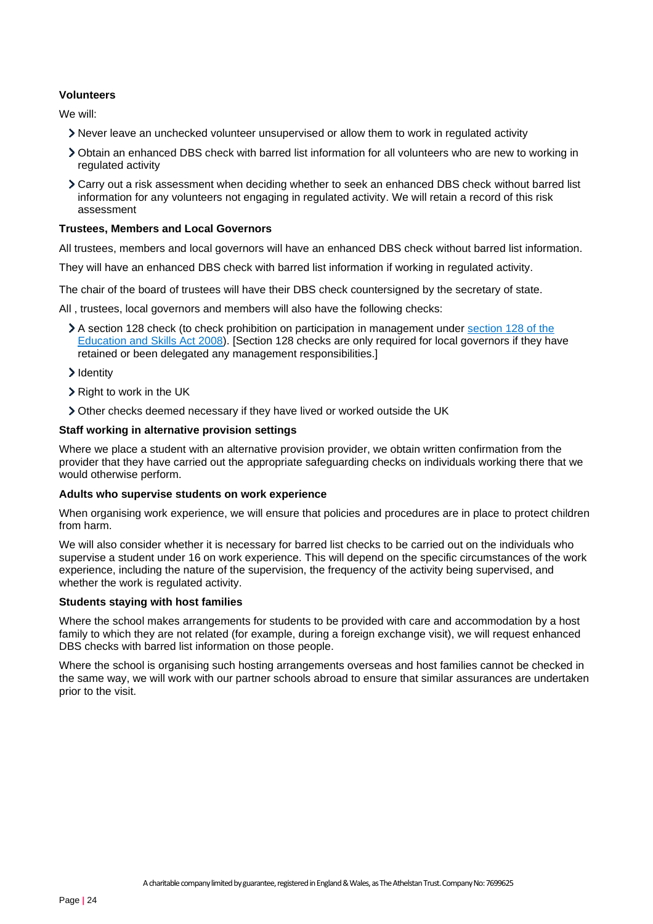#### **Volunteers**

We will:

- Never leave an unchecked volunteer unsupervised or allow them to work in regulated activity
- Obtain an enhanced DBS check with barred list information for all volunteers who are new to working in regulated activity
- Carry out a risk assessment when deciding whether to seek an enhanced DBS check without barred list information for any volunteers not engaging in regulated activity. We will retain a record of this risk assessment

#### **Trustees, Members and Local Governors**

All trustees, members and local governors will have an enhanced DBS check without barred list information.

They will have an enhanced DBS check with barred list information if working in regulated activity.

The chair of the board of trustees will have their DBS check countersigned by the secretary of state.

All , trustees, local governors and members will also have the following checks:

A section 128 check (to check prohibition on participation in management under section 128 of the [Education and Skills Act 2008\)](https://www.legislation.gov.uk/ukpga/2008/25/section/128). [Section 128 checks are only required for local governors if they have retained or been delegated any management responsibilities.]

#### > Identity

- $\triangleright$  Right to work in the UK
- Other checks deemed necessary if they have lived or worked outside the UK

#### **Staff working in alternative provision settings**

Where we place a student with an alternative provision provider, we obtain written confirmation from the provider that they have carried out the appropriate safeguarding checks on individuals working there that we would otherwise perform.

#### **Adults who supervise students on work experience**

When organising work experience, we will ensure that policies and procedures are in place to protect children from harm.

We will also consider whether it is necessary for barred list checks to be carried out on the individuals who supervise a student under 16 on work experience. This will depend on the specific circumstances of the work experience, including the nature of the supervision, the frequency of the activity being supervised, and whether the work is regulated activity.

#### **Students staying with host families**

Where the school makes arrangements for students to be provided with care and accommodation by a host family to which they are not related (for example, during a foreign exchange visit), we will request enhanced DBS checks with barred list information on those people.

Where the school is organising such hosting arrangements overseas and host families cannot be checked in the same way, we will work with our partner schools abroad to ensure that similar assurances are undertaken prior to the visit.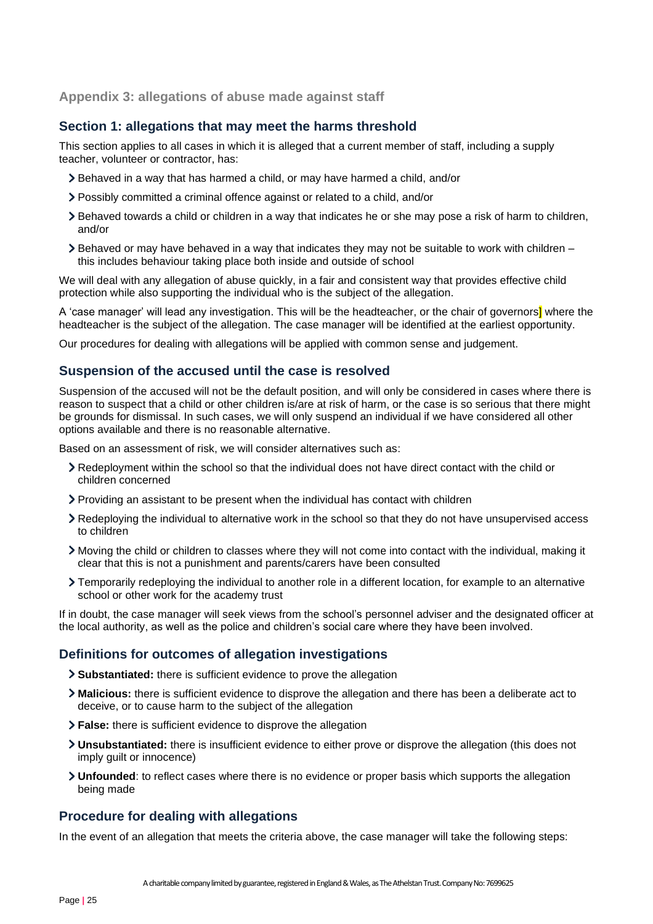## <span id="page-24-0"></span>**Appendix 3: allegations of abuse made against staff**

## **Section 1: allegations that may meet the harms threshold**

This section applies to all cases in which it is alleged that a current member of staff, including a supply teacher, volunteer or contractor, has:

- Behaved in a way that has harmed a child, or may have harmed a child, and/or
- Possibly committed a criminal offence against or related to a child, and/or
- Behaved towards a child or children in a way that indicates he or she may pose a risk of harm to children, and/or
- $\geq$  Behaved or may have behaved in a way that indicates they may not be suitable to work with children this includes behaviour taking place both inside and outside of school

We will deal with any allegation of abuse quickly, in a fair and consistent way that provides effective child protection while also supporting the individual who is the subject of the allegation.

A 'case manager' will lead any investigation. This will be the headteacher, or the chair of governors<sup>1</sup> where the headteacher is the subject of the allegation. The case manager will be identified at the earliest opportunity.

Our procedures for dealing with allegations will be applied with common sense and judgement.

## **Suspension of the accused until the case is resolved**

Suspension of the accused will not be the default position, and will only be considered in cases where there is reason to suspect that a child or other children is/are at risk of harm, or the case is so serious that there might be grounds for dismissal. In such cases, we will only suspend an individual if we have considered all other options available and there is no reasonable alternative.

Based on an assessment of risk, we will consider alternatives such as:

- Redeployment within the school so that the individual does not have direct contact with the child or children concerned
- Providing an assistant to be present when the individual has contact with children
- Redeploying the individual to alternative work in the school so that they do not have unsupervised access to children
- Moving the child or children to classes where they will not come into contact with the individual, making it clear that this is not a punishment and parents/carers have been consulted
- Temporarily redeploying the individual to another role in a different location, for example to an alternative school or other work for the academy trust

If in doubt, the case manager will seek views from the school's personnel adviser and the designated officer at the local authority, as well as the police and children's social care where they have been involved.

## **Definitions for outcomes of allegation investigations**

- **Substantiated:** there is sufficient evidence to prove the allegation
- **Malicious:** there is sufficient evidence to disprove the allegation and there has been a deliberate act to deceive, or to cause harm to the subject of the allegation
- **False:** there is sufficient evidence to disprove the allegation
- **Unsubstantiated:** there is insufficient evidence to either prove or disprove the allegation (this does not imply guilt or innocence)
- **Unfounded**: to reflect cases where there is no evidence or proper basis which supports the allegation being made

## **Procedure for dealing with allegations**

In the event of an allegation that meets the criteria above, the case manager will take the following steps: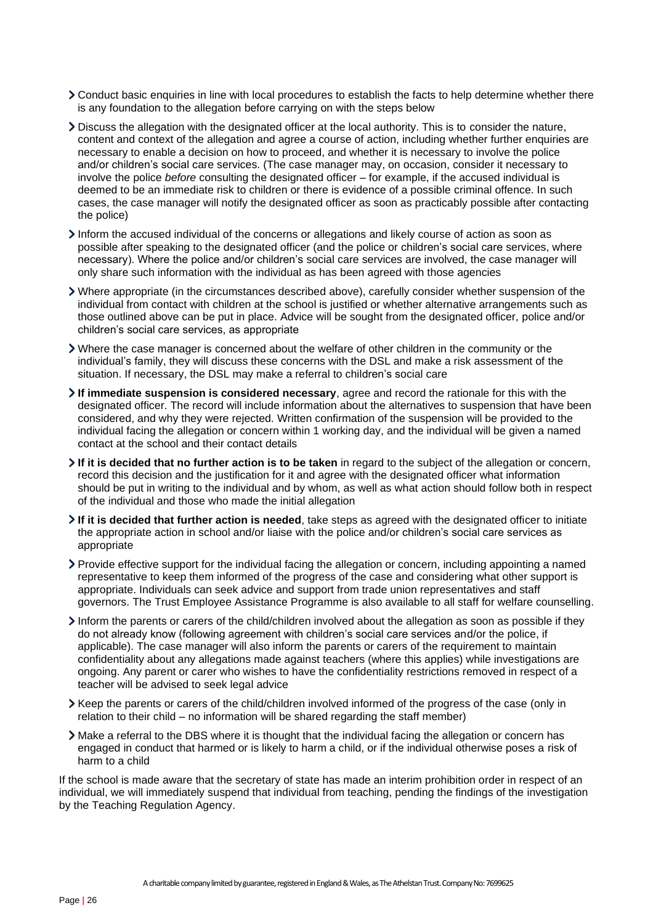- Conduct basic enquiries in line with local procedures to establish the facts to help determine whether there is any foundation to the allegation before carrying on with the steps below
- Discuss the allegation with the designated officer at the local authority. This is to consider the nature, content and context of the allegation and agree a course of action, including whether further enquiries are necessary to enable a decision on how to proceed, and whether it is necessary to involve the police and/or children's social care services. (The case manager may, on occasion, consider it necessary to involve the police *before* consulting the designated officer – for example, if the accused individual is deemed to be an immediate risk to children or there is evidence of a possible criminal offence. In such cases, the case manager will notify the designated officer as soon as practicably possible after contacting the police)
- Inform the accused individual of the concerns or allegations and likely course of action as soon as possible after speaking to the designated officer (and the police or children's social care services, where necessary). Where the police and/or children's social care services are involved, the case manager will only share such information with the individual as has been agreed with those agencies
- Where appropriate (in the circumstances described above), carefully consider whether suspension of the individual from contact with children at the school is justified or whether alternative arrangements such as those outlined above can be put in place. Advice will be sought from the designated officer, police and/or children's social care services, as appropriate
- Where the case manager is concerned about the welfare of other children in the community or the individual's family, they will discuss these concerns with the DSL and make a risk assessment of the situation. If necessary, the DSL may make a referral to children's social care
- **If immediate suspension is considered necessary**, agree and record the rationale for this with the designated officer. The record will include information about the alternatives to suspension that have been considered, and why they were rejected. Written confirmation of the suspension will be provided to the individual facing the allegation or concern within 1 working day, and the individual will be given a named contact at the school and their contact details
- **If it is decided that no further action is to be taken** in regard to the subject of the allegation or concern, record this decision and the justification for it and agree with the designated officer what information should be put in writing to the individual and by whom, as well as what action should follow both in respect of the individual and those who made the initial allegation
- **If it is decided that further action is needed**, take steps as agreed with the designated officer to initiate the appropriate action in school and/or liaise with the police and/or children's social care services as appropriate
- Provide effective support for the individual facing the allegation or concern, including appointing a named representative to keep them informed of the progress of the case and considering what other support is appropriate. Individuals can seek advice and support from trade union representatives and staff governors. The Trust Employee Assistance Programme is also available to all staff for welfare counselling.
- Inform the parents or carers of the child/children involved about the allegation as soon as possible if they do not already know (following agreement with children's social care services and/or the police, if applicable). The case manager will also inform the parents or carers of the requirement to maintain confidentiality about any allegations made against teachers (where this applies) while investigations are ongoing. Any parent or carer who wishes to have the confidentiality restrictions removed in respect of a teacher will be advised to seek legal advice
- Keep the parents or carers of the child/children involved informed of the progress of the case (only in relation to their child – no information will be shared regarding the staff member)
- Make a referral to the DBS where it is thought that the individual facing the allegation or concern has engaged in conduct that harmed or is likely to harm a child, or if the individual otherwise poses a risk of harm to a child

If the school is made aware that the secretary of state has made an interim prohibition order in respect of an individual, we will immediately suspend that individual from teaching, pending the findings of the investigation by the Teaching Regulation Agency.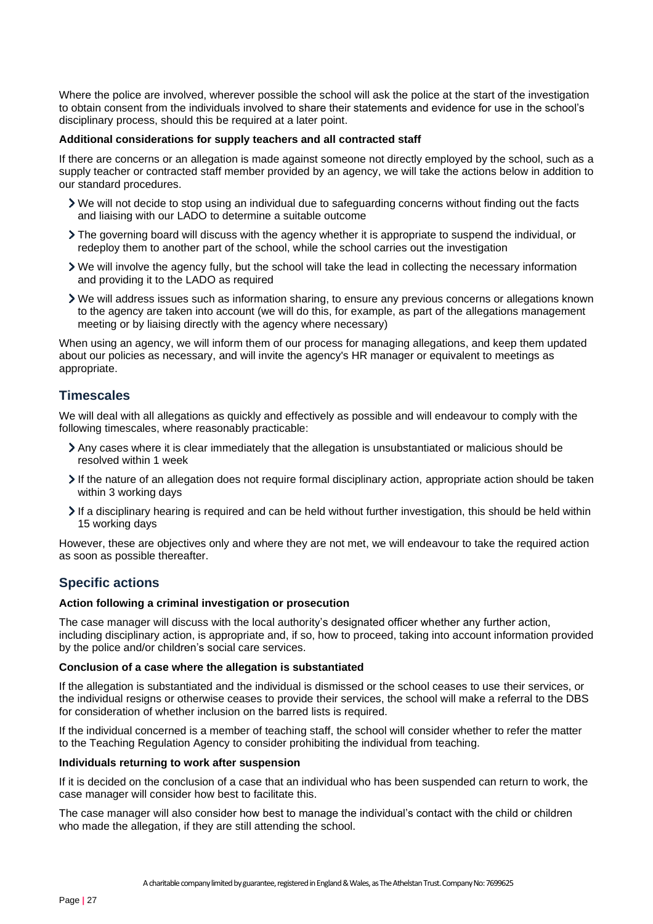Where the police are involved, wherever possible the school will ask the police at the start of the investigation to obtain consent from the individuals involved to share their statements and evidence for use in the school's disciplinary process, should this be required at a later point.

#### **Additional considerations for supply teachers and all contracted staff**

If there are concerns or an allegation is made against someone not directly employed by the school, such as a supply teacher or contracted staff member provided by an agency, we will take the actions below in addition to our standard procedures.

- We will not decide to stop using an individual due to safeguarding concerns without finding out the facts and liaising with our LADO to determine a suitable outcome
- The governing board will discuss with the agency whether it is appropriate to suspend the individual, or redeploy them to another part of the school, while the school carries out the investigation
- We will involve the agency fully, but the school will take the lead in collecting the necessary information and providing it to the LADO as required
- We will address issues such as information sharing, to ensure any previous concerns or allegations known to the agency are taken into account (we will do this, for example, as part of the allegations management meeting or by liaising directly with the agency where necessary)

When using an agency, we will inform them of our process for managing allegations, and keep them updated about our policies as necessary, and will invite the agency's HR manager or equivalent to meetings as appropriate.

## **Timescales**

We will deal with all allegations as quickly and effectively as possible and will endeavour to comply with the following timescales, where reasonably practicable:

- Any cases where it is clear immediately that the allegation is unsubstantiated or malicious should be resolved within 1 week
- If the nature of an allegation does not require formal disciplinary action, appropriate action should be taken within 3 working days
- If a disciplinary hearing is required and can be held without further investigation, this should be held within 15 working days

However, these are objectives only and where they are not met, we will endeavour to take the required action as soon as possible thereafter.

## **Specific actions**

#### **Action following a criminal investigation or prosecution**

The case manager will discuss with the local authority's designated officer whether any further action, including disciplinary action, is appropriate and, if so, how to proceed, taking into account information provided by the police and/or children's social care services.

#### **Conclusion of a case where the allegation is substantiated**

If the allegation is substantiated and the individual is dismissed or the school ceases to use their services, or the individual resigns or otherwise ceases to provide their services, the school will make a referral to the DBS for consideration of whether inclusion on the barred lists is required.

If the individual concerned is a member of teaching staff, the school will consider whether to refer the matter to the Teaching Regulation Agency to consider prohibiting the individual from teaching.

#### **Individuals returning to work after suspension**

If it is decided on the conclusion of a case that an individual who has been suspended can return to work, the case manager will consider how best to facilitate this.

The case manager will also consider how best to manage the individual's contact with the child or children who made the allegation, if they are still attending the school.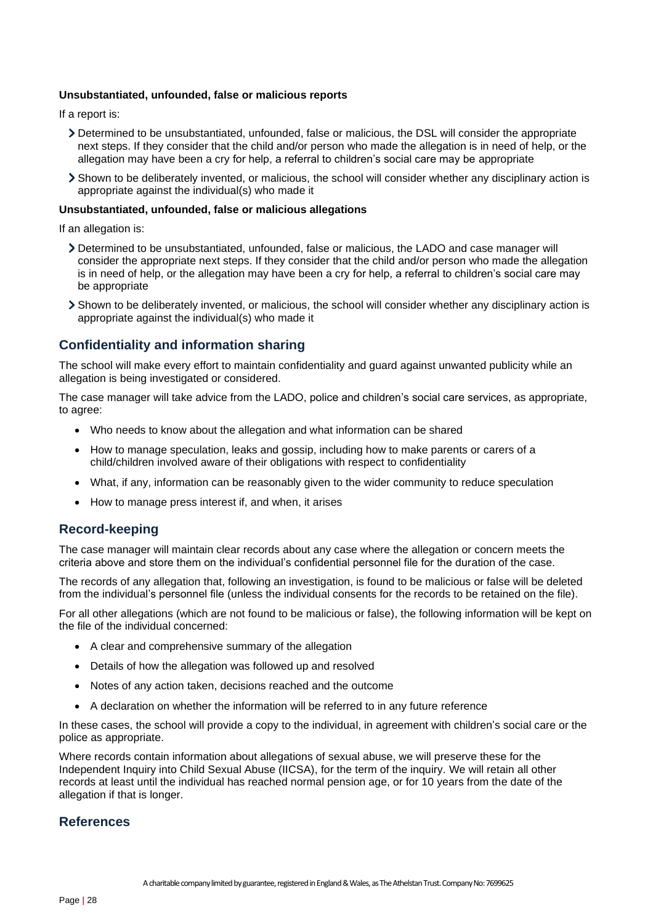#### **Unsubstantiated, unfounded, false or malicious reports**

If a report is:

- Determined to be unsubstantiated, unfounded, false or malicious, the DSL will consider the appropriate next steps. If they consider that the child and/or person who made the allegation is in need of help, or the allegation may have been a cry for help, a referral to children's social care may be appropriate
- Shown to be deliberately invented, or malicious, the school will consider whether any disciplinary action is appropriate against the individual(s) who made it

#### **Unsubstantiated, unfounded, false or malicious allegations**

If an allegation is:

- Determined to be unsubstantiated, unfounded, false or malicious, the LADO and case manager will consider the appropriate next steps. If they consider that the child and/or person who made the allegation is in need of help, or the allegation may have been a cry for help, a referral to children's social care may be appropriate
- Shown to be deliberately invented, or malicious, the school will consider whether any disciplinary action is appropriate against the individual(s) who made it

## **Confidentiality and information sharing**

The school will make every effort to maintain confidentiality and guard against unwanted publicity while an allegation is being investigated or considered.

The case manager will take advice from the LADO, police and children's social care services, as appropriate, to agree:

- Who needs to know about the allegation and what information can be shared
- How to manage speculation, leaks and gossip, including how to make parents or carers of a child/children involved aware of their obligations with respect to confidentiality
- What, if any, information can be reasonably given to the wider community to reduce speculation
- How to manage press interest if, and when, it arises

## **Record-keeping**

The case manager will maintain clear records about any case where the allegation or concern meets the criteria above and store them on the individual's confidential personnel file for the duration of the case.

The records of any allegation that, following an investigation, is found to be malicious or false will be deleted from the individual's personnel file (unless the individual consents for the records to be retained on the file).

For all other allegations (which are not found to be malicious or false), the following information will be kept on the file of the individual concerned:

- A clear and comprehensive summary of the allegation
- Details of how the allegation was followed up and resolved
- Notes of any action taken, decisions reached and the outcome
- A declaration on whether the information will be referred to in any future reference

In these cases, the school will provide a copy to the individual, in agreement with children's social care or the police as appropriate.

Where records contain information about allegations of sexual abuse, we will preserve these for the Independent Inquiry into Child Sexual Abuse (IICSA), for the term of the inquiry. We will retain all other records at least until the individual has reached normal pension age, or for 10 years from the date of the allegation if that is longer.

#### **References**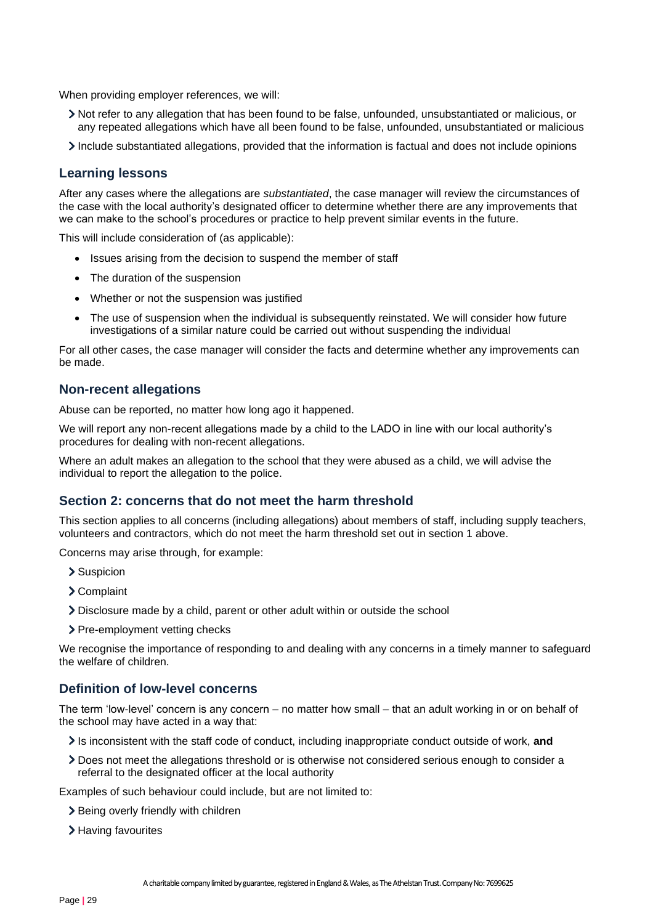When providing employer references, we will:

- Not refer to any allegation that has been found to be false, unfounded, unsubstantiated or malicious, or any repeated allegations which have all been found to be false, unfounded, unsubstantiated or malicious
- Include substantiated allegations, provided that the information is factual and does not include opinions

### **Learning lessons**

After any cases where the allegations are *substantiated*, the case manager will review the circumstances of the case with the local authority's designated officer to determine whether there are any improvements that we can make to the school's procedures or practice to help prevent similar events in the future.

This will include consideration of (as applicable):

- Issues arising from the decision to suspend the member of staff
- The duration of the suspension
- Whether or not the suspension was justified
- The use of suspension when the individual is subsequently reinstated. We will consider how future investigations of a similar nature could be carried out without suspending the individual

For all other cases, the case manager will consider the facts and determine whether any improvements can be made.

## **Non-recent allegations**

Abuse can be reported, no matter how long ago it happened.

We will report any non-recent allegations made by a child to the LADO in line with our local authority's procedures for dealing with non-recent allegations.

Where an adult makes an allegation to the school that they were abused as a child, we will advise the individual to report the allegation to the police.

### **Section 2: concerns that do not meet the harm threshold**

This section applies to all concerns (including allegations) about members of staff, including supply teachers, volunteers and contractors, which do not meet the harm threshold set out in section 1 above.

Concerns may arise through, for example:

- > Suspicion
- Complaint
- Disclosure made by a child, parent or other adult within or outside the school
- > Pre-employment vetting checks

We recognise the importance of responding to and dealing with any concerns in a timely manner to safeguard the welfare of children.

#### **Definition of low-level concerns**

The term 'low-level' concern is any concern – no matter how small – that an adult working in or on behalf of the school may have acted in a way that:

- Is inconsistent with the staff code of conduct, including inappropriate conduct outside of work, and
- Does not meet the allegations threshold or is otherwise not considered serious enough to consider a referral to the designated officer at the local authority

Examples of such behaviour could include, but are not limited to:

- > Being overly friendly with children
- > Having favourites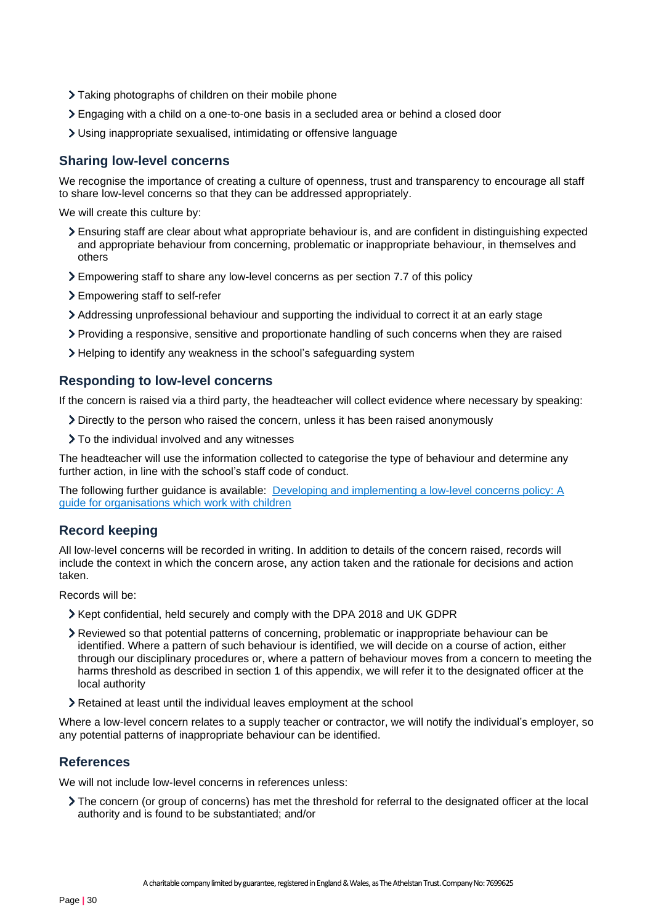- Taking photographs of children on their mobile phone
- Engaging with a child on a one-to-one basis in a secluded area or behind a closed door
- Using inappropriate sexualised, intimidating or offensive language

## **Sharing low-level concerns**

We recognise the importance of creating a culture of openness, trust and transparency to encourage all staff to share low-level concerns so that they can be addressed appropriately.

We will create this culture by:

- Ensuring staff are clear about what appropriate behaviour is, and are confident in distinguishing expected and appropriate behaviour from concerning, problematic or inappropriate behaviour, in themselves and others
- Empowering staff to share any low-level concerns as per section 7.7 of this policy
- Empowering staff to self-refer
- Addressing unprofessional behaviour and supporting the individual to correct it at an early stage
- Providing a responsive, sensitive and proportionate handling of such concerns when they are raised
- Helping to identify any weakness in the school's safeguarding system

## **Responding to low-level concerns**

If the concern is raised via a third party, the headteacher will collect evidence where necessary by speaking:

Directly to the person who raised the concern, unless it has been raised anonymously

> To the individual involved and any witnesses

The headteacher will use the information collected to categorise the type of behaviour and determine any further action, in line with the school's staff code of conduct.

The following further guidance is available: [Developing and implementing a low-level concerns policy: A](https://www.farrer.co.uk/news-and-insights/developing-and-implementing-a-low-level-concerns-policy-a-guide-for-organisations-which-work-with-children/)  [guide for organisations which work with children](https://www.farrer.co.uk/news-and-insights/developing-and-implementing-a-low-level-concerns-policy-a-guide-for-organisations-which-work-with-children/)

## **Record keeping**

All low-level concerns will be recorded in writing. In addition to details of the concern raised, records will include the context in which the concern arose, any action taken and the rationale for decisions and action taken.

Records will be:

- Xept confidential, held securely and comply with the DPA 2018 and UK GDPR
- Reviewed so that potential patterns of concerning, problematic or inappropriate behaviour can be identified. Where a pattern of such behaviour is identified, we will decide on a course of action, either through our disciplinary procedures or, where a pattern of behaviour moves from a concern to meeting the harms threshold as described in section 1 of this appendix, we will refer it to the designated officer at the local authority
- Retained at least until the individual leaves employment at the school

Where a low-level concern relates to a supply teacher or contractor, we will notify the individual's employer, so any potential patterns of inappropriate behaviour can be identified.

## **References**

We will not include low-level concerns in references unless:

The concern (or group of concerns) has met the threshold for referral to the designated officer at the local authority and is found to be substantiated; and/or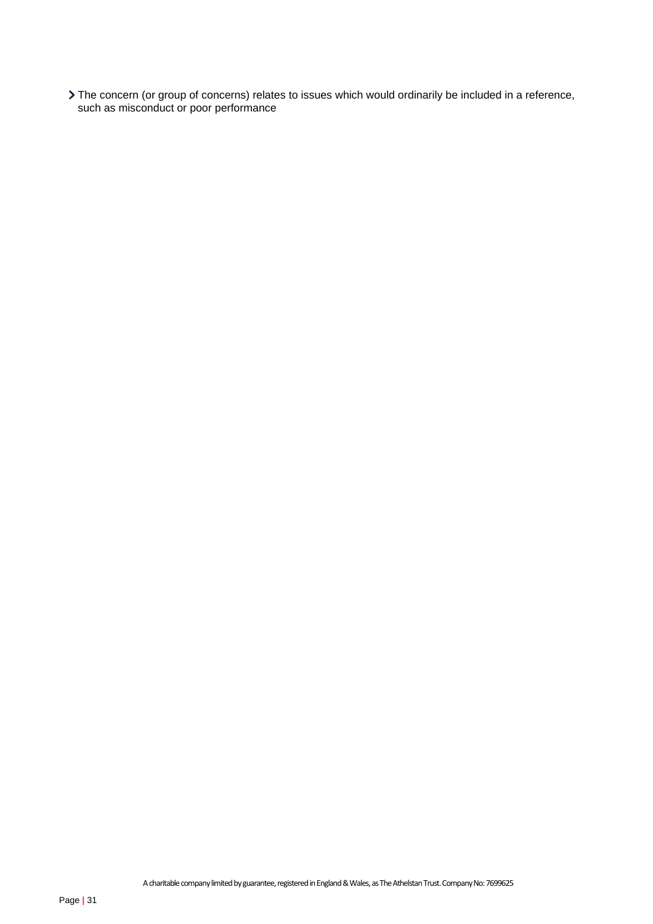The concern (or group of concerns) relates to issues which would ordinarily be included in a reference, such as misconduct or poor performance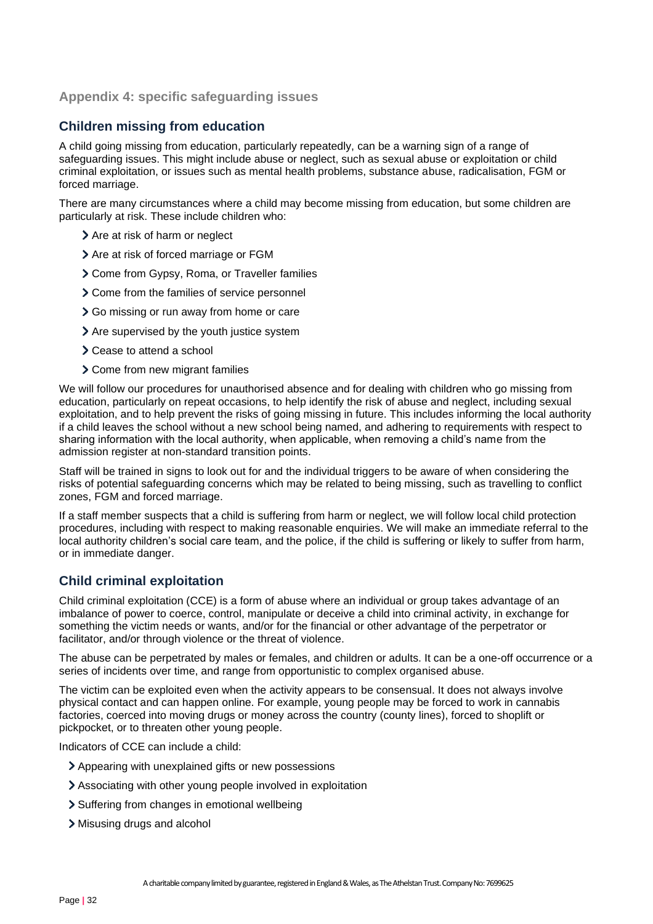## <span id="page-31-0"></span>**Appendix 4: specific safeguarding issues**

## **Children missing from education**

A child going missing from education, particularly repeatedly, can be a warning sign of a range of safeguarding issues. This might include abuse or neglect, such as sexual abuse or exploitation or child criminal exploitation, or issues such as mental health problems, substance abuse, radicalisation, FGM or forced marriage.

There are many circumstances where a child may become missing from education, but some children are particularly at risk. These include children who:

- > Are at risk of harm or neglect
- $\geq$  Are at risk of forced marriage or FGM
- Come from Gypsy, Roma, or Traveller families
- Come from the families of service personnel
- Go missing or run away from home or care
- > Are supervised by the youth justice system
- Cease to attend a school
- Come from new migrant families

We will follow our procedures for unauthorised absence and for dealing with children who go missing from education, particularly on repeat occasions, to help identify the risk of abuse and neglect, including sexual exploitation, and to help prevent the risks of going missing in future. This includes informing the local authority if a child leaves the school without a new school being named, and adhering to requirements with respect to sharing information with the local authority, when applicable, when removing a child's name from the admission register at non-standard transition points.

Staff will be trained in signs to look out for and the individual triggers to be aware of when considering the risks of potential safeguarding concerns which may be related to being missing, such as travelling to conflict zones, FGM and forced marriage.

If a staff member suspects that a child is suffering from harm or neglect, we will follow local child protection procedures, including with respect to making reasonable enquiries. We will make an immediate referral to the local authority children's social care team, and the police, if the child is suffering or likely to suffer from harm, or in immediate danger.

## **Child criminal exploitation**

Child criminal exploitation (CCE) is a form of abuse where an individual or group takes advantage of an imbalance of power to coerce, control, manipulate or deceive a child into criminal activity, in exchange for something the victim needs or wants, and/or for the financial or other advantage of the perpetrator or facilitator, and/or through violence or the threat of violence.

The abuse can be perpetrated by males or females, and children or adults. It can be a one-off occurrence or a series of incidents over time, and range from opportunistic to complex organised abuse.

The victim can be exploited even when the activity appears to be consensual. It does not always involve physical contact and can happen online. For example, young people may be forced to work in cannabis factories, coerced into moving drugs or money across the country (county lines), forced to shoplift or pickpocket, or to threaten other young people.

Indicators of CCE can include a child:

- Appearing with unexplained gifts or new possessions
- Associating with other young people involved in exploitation
- > Suffering from changes in emotional wellbeing
- Misusing drugs and alcohol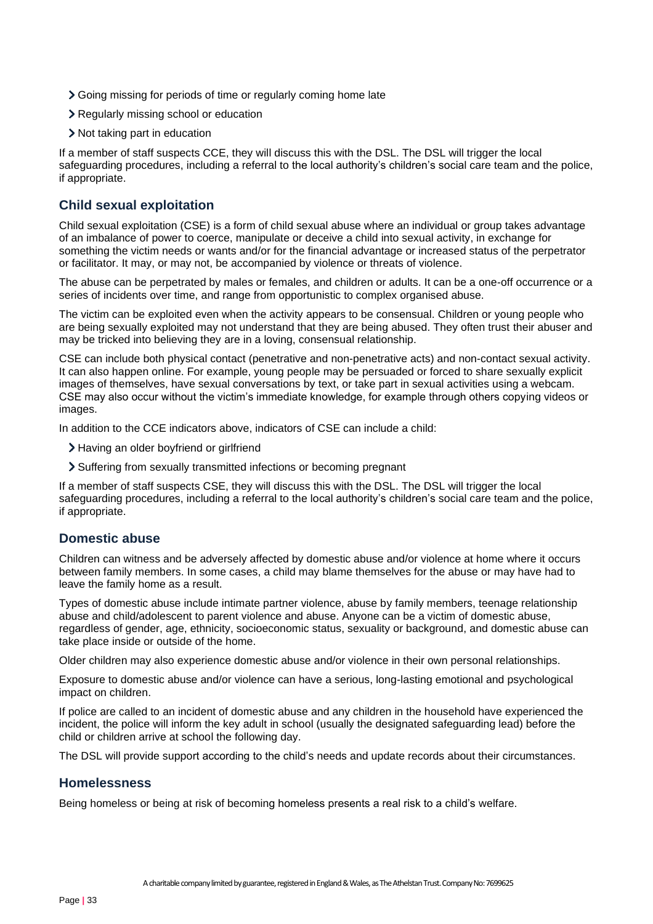- Going missing for periods of time or regularly coming home late
- Regularly missing school or education
- Not taking part in education

If a member of staff suspects CCE, they will discuss this with the DSL. The DSL will trigger the local safeguarding procedures, including a referral to the local authority's children's social care team and the police, if appropriate.

## **Child sexual exploitation**

Child sexual exploitation (CSE) is a form of child sexual abuse where an individual or group takes advantage of an imbalance of power to coerce, manipulate or deceive a child into sexual activity, in exchange for something the victim needs or wants and/or for the financial advantage or increased status of the perpetrator or facilitator. It may, or may not, be accompanied by violence or threats of violence.

The abuse can be perpetrated by males or females, and children or adults. It can be a one-off occurrence or a series of incidents over time, and range from opportunistic to complex organised abuse.

The victim can be exploited even when the activity appears to be consensual. Children or young people who are being sexually exploited may not understand that they are being abused. They often trust their abuser and may be tricked into believing they are in a loving, consensual relationship.

CSE can include both physical contact (penetrative and non-penetrative acts) and non-contact sexual activity. It can also happen online. For example, young people may be persuaded or forced to share sexually explicit images of themselves, have sexual conversations by text, or take part in sexual activities using a webcam. CSE may also occur without the victim's immediate knowledge, for example through others copying videos or images.

In addition to the CCE indicators above, indicators of CSE can include a child:

- > Having an older boyfriend or girlfriend
- Suffering from sexually transmitted infections or becoming pregnant

If a member of staff suspects CSE, they will discuss this with the DSL. The DSL will trigger the local safeguarding procedures, including a referral to the local authority's children's social care team and the police, if appropriate.

#### **Domestic abuse**

Children can witness and be adversely affected by domestic abuse and/or violence at home where it occurs between family members. In some cases, a child may blame themselves for the abuse or may have had to leave the family home as a result.

Types of domestic abuse include intimate partner violence, abuse by family members, teenage relationship abuse and child/adolescent to parent violence and abuse. Anyone can be a victim of domestic abuse, regardless of gender, age, ethnicity, socioeconomic status, sexuality or background, and domestic abuse can take place inside or outside of the home.

Older children may also experience domestic abuse and/or violence in their own personal relationships.

Exposure to domestic abuse and/or violence can have a serious, long-lasting emotional and psychological impact on children.

If police are called to an incident of domestic abuse and any children in the household have experienced the incident, the police will inform the key adult in school (usually the designated safeguarding lead) before the child or children arrive at school the following day.

The DSL will provide support according to the child's needs and update records about their circumstances.

## **Homelessness**

Being homeless or being at risk of becoming homeless presents a real risk to a child's welfare.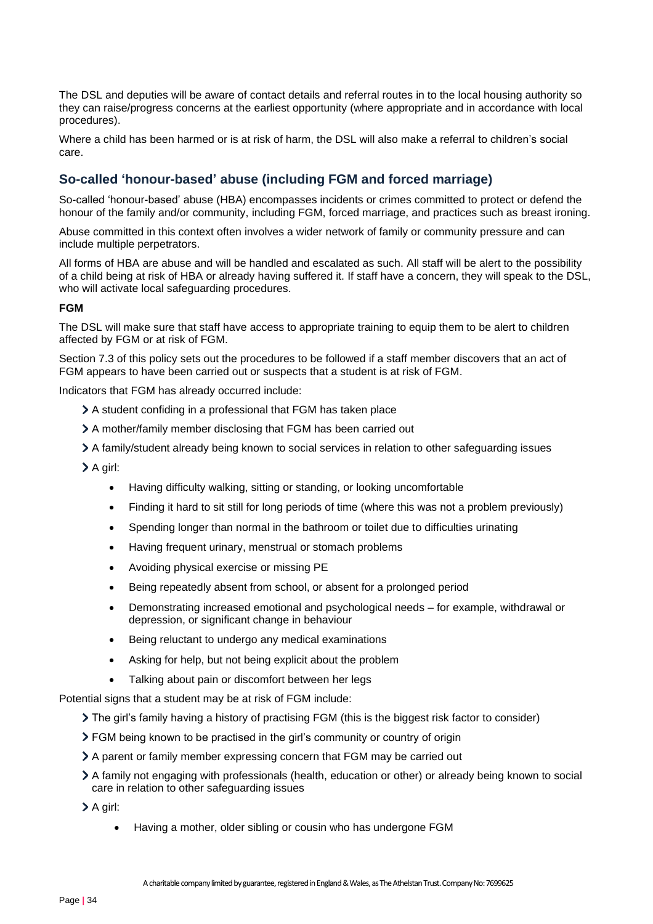The DSL and deputies will be aware of contact details and referral routes in to the local housing authority so they can raise/progress concerns at the earliest opportunity (where appropriate and in accordance with local procedures).

Where a child has been harmed or is at risk of harm, the DSL will also make a referral to children's social care.

## **So-called 'honour-based' abuse (including FGM and forced marriage)**

So-called 'honour-based' abuse (HBA) encompasses incidents or crimes committed to protect or defend the honour of the family and/or community, including FGM, forced marriage, and practices such as breast ironing.

Abuse committed in this context often involves a wider network of family or community pressure and can include multiple perpetrators.

All forms of HBA are abuse and will be handled and escalated as such. All staff will be alert to the possibility of a child being at risk of HBA or already having suffered it. If staff have a concern, they will speak to the DSL, who will activate local safeguarding procedures.

#### **FGM**

The DSL will make sure that staff have access to appropriate training to equip them to be alert to children affected by FGM or at risk of FGM.

Section 7.3 of this policy sets out the procedures to be followed if a staff member discovers that an act of FGM appears to have been carried out or suspects that a student is at risk of FGM.

Indicators that FGM has already occurred include:

- A student confiding in a professional that FGM has taken place
- A mother/family member disclosing that FGM has been carried out
- A family/student already being known to social services in relation to other safeguarding issues

A girl:

- Having difficulty walking, sitting or standing, or looking uncomfortable
- Finding it hard to sit still for long periods of time (where this was not a problem previously)
- Spending longer than normal in the bathroom or toilet due to difficulties urinating
- Having frequent urinary, menstrual or stomach problems
- Avoiding physical exercise or missing PE
- Being repeatedly absent from school, or absent for a prolonged period
- Demonstrating increased emotional and psychological needs for example, withdrawal or depression, or significant change in behaviour
- Being reluctant to undergo any medical examinations
- Asking for help, but not being explicit about the problem
- Talking about pain or discomfort between her legs

Potential signs that a student may be at risk of FGM include:

The girl's family having a history of practising FGM (this is the biggest risk factor to consider)

- FGM being known to be practised in the girl's community or country of origin
- A parent or family member expressing concern that FGM may be carried out
- A family not engaging with professionals (health, education or other) or already being known to social care in relation to other safeguarding issues

A girl:

• Having a mother, older sibling or cousin who has undergone FGM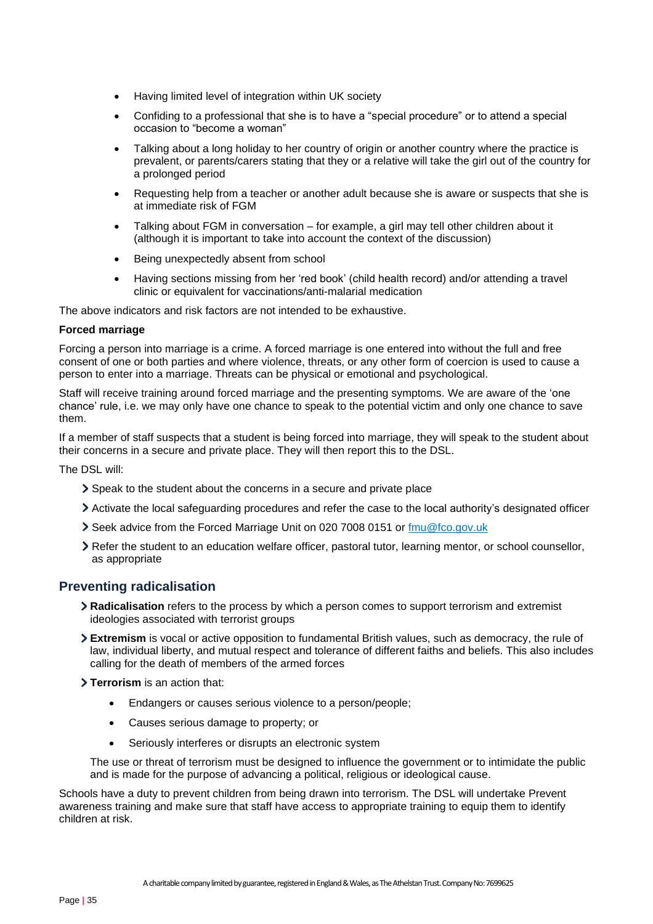- Having limited level of integration within UK society
- Confiding to a professional that she is to have a "special procedure" or to attend a special occasion to "become a woman"
- Talking about a long holiday to her country of origin or another country where the practice is prevalent, or parents/carers stating that they or a relative will take the girl out of the country for a prolonged period
- Requesting help from a teacher or another adult because she is aware or suspects that she is at immediate risk of FGM
- Talking about FGM in conversation for example, a girl may tell other children about it (although it is important to take into account the context of the discussion)
- Being unexpectedly absent from school
- Having sections missing from her 'red book' (child health record) and/or attending a travel clinic or equivalent for vaccinations/anti-malarial medication

The above indicators and risk factors are not intended to be exhaustive.

#### **Forced marriage**

Forcing a person into marriage is a crime. A forced marriage is one entered into without the full and free consent of one or both parties and where violence, threats, or any other form of coercion is used to cause a person to enter into a marriage. Threats can be physical or emotional and psychological.

Staff will receive training around forced marriage and the presenting symptoms. We are aware of the 'one chance' rule, i.e. we may only have one chance to speak to the potential victim and only one chance to save them.

If a member of staff suspects that a student is being forced into marriage, they will speak to the student about their concerns in a secure and private place. They will then report this to the DSL.

The DSL will:

- Speak to the student about the concerns in a secure and private place
- Activate the local safeguarding procedures and refer the case to the local authority's designated officer
- Seek advice from the Forced Marriage Unit on 020 7008 0151 or [fmu@fco.gov.uk](mailto:fmu@fco.gov.uk)
- Refer the student to an education welfare officer, pastoral tutor, learning mentor, or school counsellor, as appropriate

## **Preventing radicalisation**

- **Radicalisation** refers to the process by which a person comes to support terrorism and extremist ideologies associated with terrorist groups
- **Extremism** is vocal or active opposition to fundamental British values, such as democracy, the rule of law, individual liberty, and mutual respect and tolerance of different faiths and beliefs. This also includes calling for the death of members of the armed forces
- **Terrorism** is an action that:
	- Endangers or causes serious violence to a person/people;
	- Causes serious damage to property; or
	- Seriously interferes or disrupts an electronic system

The use or threat of terrorism must be designed to influence the government or to intimidate the public and is made for the purpose of advancing a political, religious or ideological cause.

Schools have a duty to prevent children from being drawn into terrorism. The DSL will undertake Prevent awareness training and make sure that staff have access to appropriate training to equip them to identify children at risk.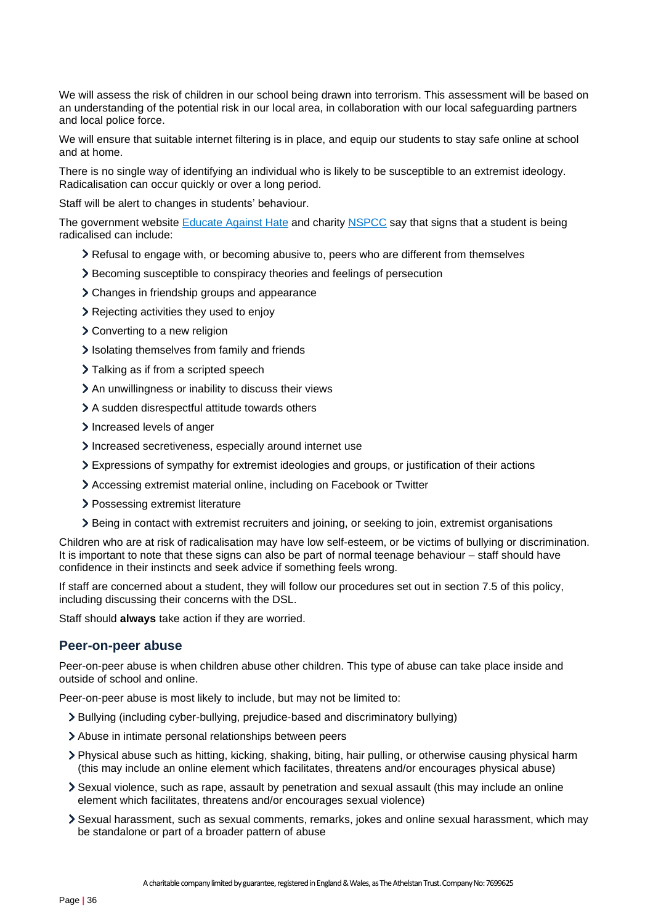We will assess the risk of children in our school being drawn into terrorism. This assessment will be based on an understanding of the potential risk in our local area, in collaboration with our local safeguarding partners and local police force.

We will ensure that suitable internet filtering is in place, and equip our students to stay safe online at school and at home.

There is no single way of identifying an individual who is likely to be susceptible to an extremist ideology. Radicalisation can occur quickly or over a long period.

Staff will be alert to changes in students' behaviour.

The government website [Educate Against](http://educateagainsthate.com/parents/what-are-the-warning-signs/) Hate and charity [NSPCC](https://www.nspcc.org.uk/what-you-can-do/report-abuse/dedicated-helplines/protecting-children-from-radicalisation/) say that signs that a student is being radicalised can include:

- Refusal to engage with, or becoming abusive to, peers who are different from themselves
- Becoming susceptible to conspiracy theories and feelings of persecution
- Changes in friendship groups and appearance
- Rejecting activities they used to enjoy
- Converting to a new religion
- Isolating themselves from family and friends
- > Talking as if from a scripted speech
- An unwillingness or inability to discuss their views
- A sudden disrespectful attitude towards others
- Increased levels of anger
- Increased secretiveness, especially around internet use
- Expressions of sympathy for extremist ideologies and groups, or justification of their actions
- Accessing extremist material online, including on Facebook or Twitter
- > Possessing extremist literature
- Being in contact with extremist recruiters and joining, or seeking to join, extremist organisations

Children who are at risk of radicalisation may have low self-esteem, or be victims of bullying or discrimination. It is important to note that these signs can also be part of normal teenage behaviour – staff should have confidence in their instincts and seek advice if something feels wrong.

If staff are concerned about a student, they will follow our procedures set out in section 7.5 of this policy, including discussing their concerns with the DSL.

Staff should **always** take action if they are worried.

#### **Peer-on-peer abuse**

Peer-on-peer abuse is when children abuse other children. This type of abuse can take place inside and outside of school and online.

Peer-on-peer abuse is most likely to include, but may not be limited to:

- Bullying (including cyber-bullying, prejudice-based and discriminatory bullying)
- Abuse in intimate personal relationships between peers
- Physical abuse such as hitting, kicking, shaking, biting, hair pulling, or otherwise causing physical harm (this may include an online element which facilitates, threatens and/or encourages physical abuse)
- Sexual violence, such as rape, assault by penetration and sexual assault (this may include an online element which facilitates, threatens and/or encourages sexual violence)
- Sexual harassment, such as sexual comments, remarks, jokes and online sexual harassment, which may be standalone or part of a broader pattern of abuse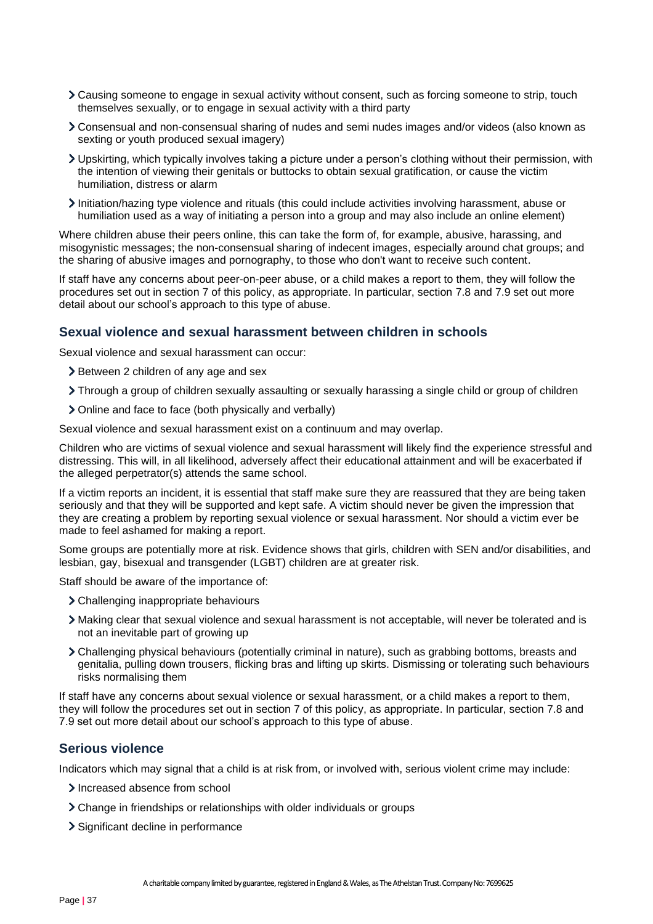- Causing someone to engage in sexual activity without consent, such as forcing someone to strip, touch themselves sexually, or to engage in sexual activity with a third party
- Consensual and non-consensual sharing of nudes and semi nudes images and/or videos (also known as sexting or youth produced sexual imagery)
- Upskirting, which typically involves taking a picture under a person's clothing without their permission, with the intention of viewing their genitals or buttocks to obtain sexual gratification, or cause the victim humiliation, distress or alarm
- Initiation/hazing type violence and rituals (this could include activities involving harassment, abuse or humiliation used as a way of initiating a person into a group and may also include an online element)

Where children abuse their peers online, this can take the form of, for example, abusive, harassing, and misogynistic messages; the non-consensual sharing of indecent images, especially around chat groups; and the sharing of abusive images and pornography, to those who don't want to receive such content.

If staff have any concerns about peer-on-peer abuse, or a child makes a report to them, they will follow the procedures set out in section 7 of this policy, as appropriate. In particular, section 7.8 and 7.9 set out more detail about our school's approach to this type of abuse.

## **Sexual violence and sexual harassment between children in schools**

Sexual violence and sexual harassment can occur:

- > Between 2 children of any age and sex
- Through a group of children sexually assaulting or sexually harassing a single child or group of children
- Online and face to face (both physically and verbally)

Sexual violence and sexual harassment exist on a continuum and may overlap.

Children who are victims of sexual violence and sexual harassment will likely find the experience stressful and distressing. This will, in all likelihood, adversely affect their educational attainment and will be exacerbated if the alleged perpetrator(s) attends the same school.

If a victim reports an incident, it is essential that staff make sure they are reassured that they are being taken seriously and that they will be supported and kept safe. A victim should never be given the impression that they are creating a problem by reporting sexual violence or sexual harassment. Nor should a victim ever be made to feel ashamed for making a report.

Some groups are potentially more at risk. Evidence shows that girls, children with SEN and/or disabilities, and lesbian, gay, bisexual and transgender (LGBT) children are at greater risk.

Staff should be aware of the importance of:

- Challenging inappropriate behaviours
- Making clear that sexual violence and sexual harassment is not acceptable, will never be tolerated and is not an inevitable part of growing up
- Challenging physical behaviours (potentially criminal in nature), such as grabbing bottoms, breasts and genitalia, pulling down trousers, flicking bras and lifting up skirts. Dismissing or tolerating such behaviours risks normalising them

If staff have any concerns about sexual violence or sexual harassment, or a child makes a report to them, they will follow the procedures set out in section 7 of this policy, as appropriate. In particular, section 7.8 and 7.9 set out more detail about our school's approach to this type of abuse.

#### **Serious violence**

Indicators which may signal that a child is at risk from, or involved with, serious violent crime may include:

- Increased absence from school
- Change in friendships or relationships with older individuals or groups
- > Significant decline in performance